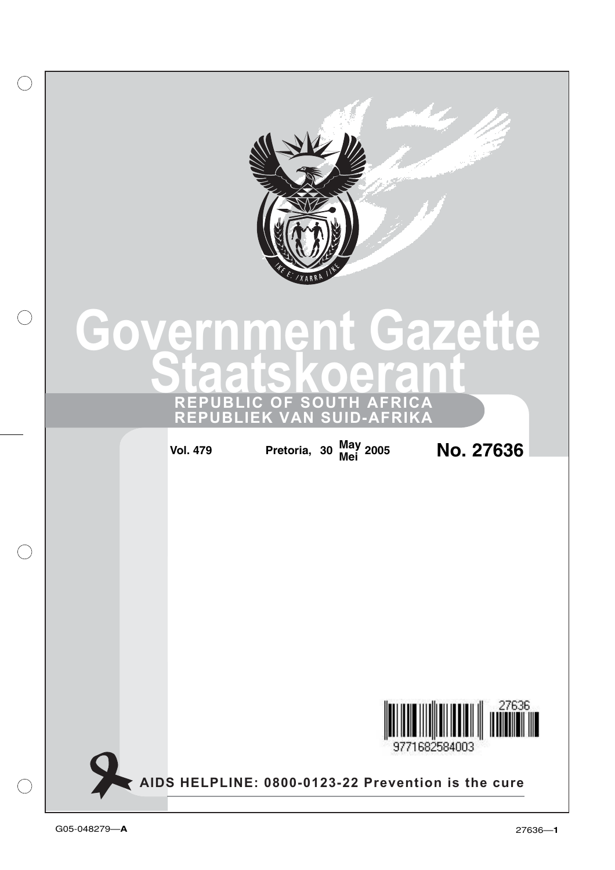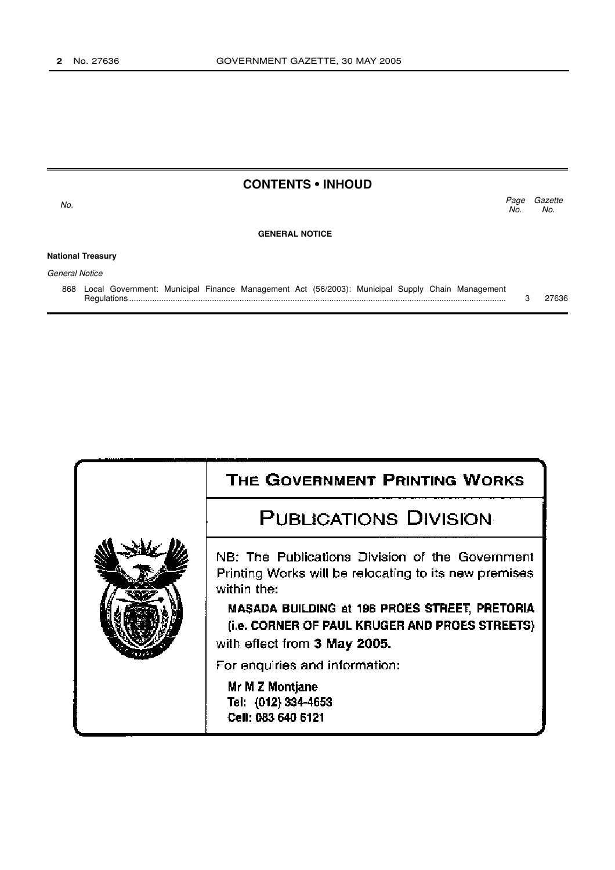| <b>CONTENTS • INHOUD</b> |                                                                                                                |             |                |  |
|--------------------------|----------------------------------------------------------------------------------------------------------------|-------------|----------------|--|
| No.                      |                                                                                                                | Page<br>No. | Gazette<br>No. |  |
|                          | <b>GENERAL NOTICE</b>                                                                                          |             |                |  |
|                          | <b>National Treasury</b>                                                                                       |             |                |  |
| General Notice           |                                                                                                                |             |                |  |
| 868                      | Local Government: Municipal Finance Management Act (56/2003): Municipal Supply Chain Management<br>Regulations |             | 27636          |  |

| THE GOVERNMENT PRINTING WORKS                                                                                                   |
|---------------------------------------------------------------------------------------------------------------------------------|
|                                                                                                                                 |
| <b>PUBLICATIONS DIVISION</b>                                                                                                    |
| NB: The Publications Division of the Government<br>Printing Works will be relocating to its new premises<br>within the:         |
| MASADA BUILDING at 196 PROES STREET, PRETORIA<br>(i.e. CORNER OF PAUL KRUGER AND PROES STREETS)<br>with effect from 3 May 2005. |
| For enquiries and information:                                                                                                  |
| Mr M Z Montjane<br>Tel: (012) 334-4653<br>Cell: 083 640 6121                                                                    |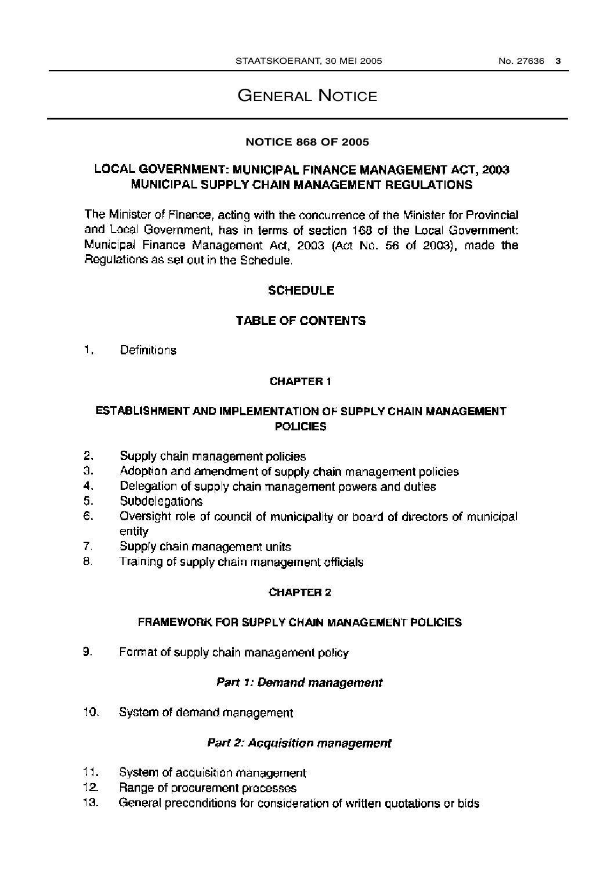# **GENERAL NOTICE**

#### **NOTICE 868 OF 2005**

# LOCAL GOVERNMENT: MUNICIPAL FINANCE MANAGEMENT ACT, 2003 MUNICIPAL SUPPLY CHAIN MANAGEMENT REGULATIONS

The Minister of Finance, acting with the concurrence of the Minister for Provincial and Local Government, has in terms of section 168 of the Local Government: Municipal Finance Management Act, 2003 (Act No. 56 of 2003), made the Regulations as set out in the Schedule.

# **SCHEDULE**

# **TABLE OF CONTENTS**

1. Definitions

# **CHAPTER 1**

# ESTABLISHMENT AND IMPLEMENTATION OF SUPPLY CHAIN MANAGEMENT **POLICIES**

- 2. Supply chain management policies
- 3. Adoption and amendment of supply chain management policies
- 4. Delegation of supply chain management powers and duties
- 5. Subdelegations
- 6. Oversight role of council of municipality or board of directors of municipal entity
- $\mathbf{7}$ . Supply chain management units
- 8. Training of supply chain management officials

#### **CHAPTER 2**

#### FRAMEWORK FOR SUPPLY CHAIN MANAGEMENT POLICIES

 $9.$ Format of supply chain management policy

#### Part 1: Demand management

10. System of demand management

#### **Part 2: Acquisition management**

- $11.$ System of acquisition management
- 12. Range of procurement processes
- $13.$ General preconditions for consideration of written quotations or bids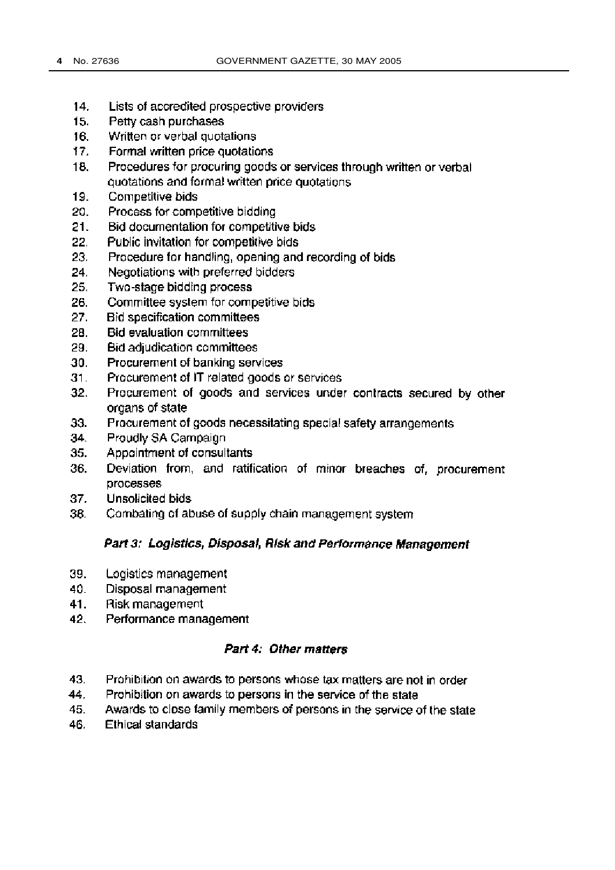- $14.$ Lists of accredited prospective providers
- $15.$ Petty cash purchases
- Written or verbal quotations  $16.$
- 17. Formal written price quotations
- 18. Procedures for procuring goods or services through written or verbal quotations and formal written price quotations
- 19. Competitive bids
- 20. Process for competitive bidding
- $21.$ Bid documentation for competitive bids
- $22.$ Public invitation for competitive bids
- 23. Procedure for handling, opening and recording of bids
- 24. Negotiations with preferred bidders
- 25. Two-stage bidding process
- 26. Committee system for competitive bids
- **Bid specification committees** 27.
- Bid evaluation committees 28.
- 29. **Bid adjudication committees**
- 30. Procurement of banking services
- $31.$ Procurement of IT related goods or services
- 32. Procurement of goods and services under contracts secured by other organs of state
- 33. Procurement of goods necessitating special safety arrangements
- 34. Proudly SA Campaign
- 35. Appointment of consultants
- 36. Deviation from, and ratification of minor breaches of, procurement processes
- 37. Unsolicited bids
- 38. Combating of abuse of supply chain management system

#### Part 3: Logistics, Disposal, Risk and Performance Management

- 39. Logistics management
- 40. Disposal management
- 41. Risk management
- 42. Performance management

#### Part 4: Other matters

- 43. Prohibition on awards to persons whose tax matters are not in order
- Prohibition on awards to persons in the service of the state 44.
- 45. Awards to close family members of persons in the service of the state
- 46. Ethical standards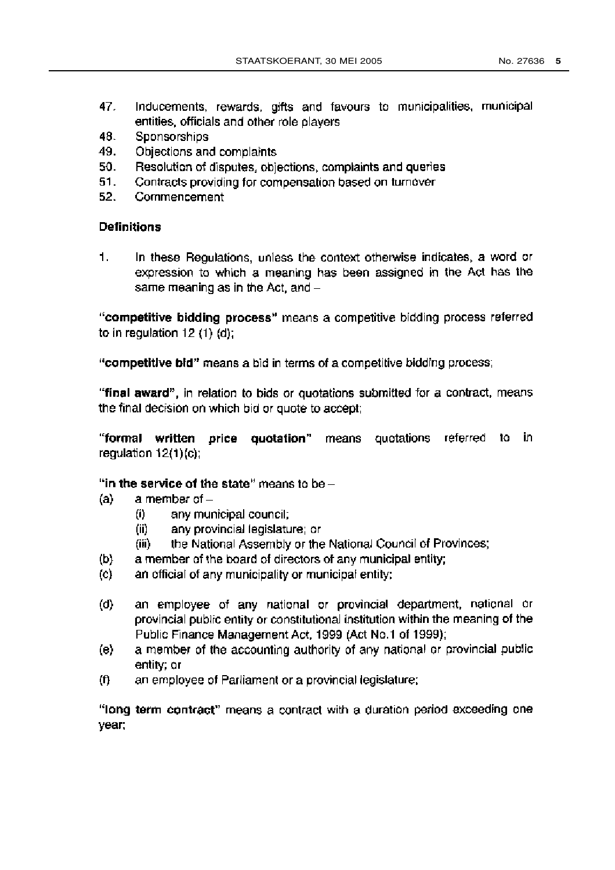- 47. Inducements, rewards, gifts and favours to municipalities, municipal entities, officials and other role players
- Sponsorships 48.
- 49. Objections and complaints
- 50. Resolution of disputes, objections, complaints and queries
- Contracts providing for compensation based on turnover 51.
- $52.$ Commencement

#### **Definitions**

 $\mathbf{1}$ . In these Regulations, unless the context otherwise indicates, a word or expression to which a meaning has been assigned in the Act has the same meaning as in the Act, and -

"competitive bidding process" means a competitive bidding process referred to in regulation  $12(1)(d)$ ;

"competitive bid" means a bid in terms of a competitive bidding process;

"final award", in relation to bids or quotations submitted for a contract, means the final decision on which bid or quote to accept;

"formal written price quotation" means quotations referred to in regulation  $12(1)(c)$ ;

"in the service of the state" means to be  $-$ 

- $(a)$ a member of  $$ 
	- any municipal council;  $(i)$
	- any provincial legislature; or (ii)
	- the National Assembly or the National Council of Provinces; (iii)
- a member of the board of directors of any municipal entity;  $(b)$
- an official of any municipality or municipal entity;  $(c)$
- $(d)$ an employee of any national or provincial department, national or provincial public entity or constitutional institution within the meaning of the Public Finance Management Act, 1999 (Act No.1 of 1999);
- a member of the accounting authority of any national or provincial public  $(e)$ entity; or
- an employee of Parliament or a provincial legislature;  $(f)$

"long term contract" means a contract with a duration period exceeding one year;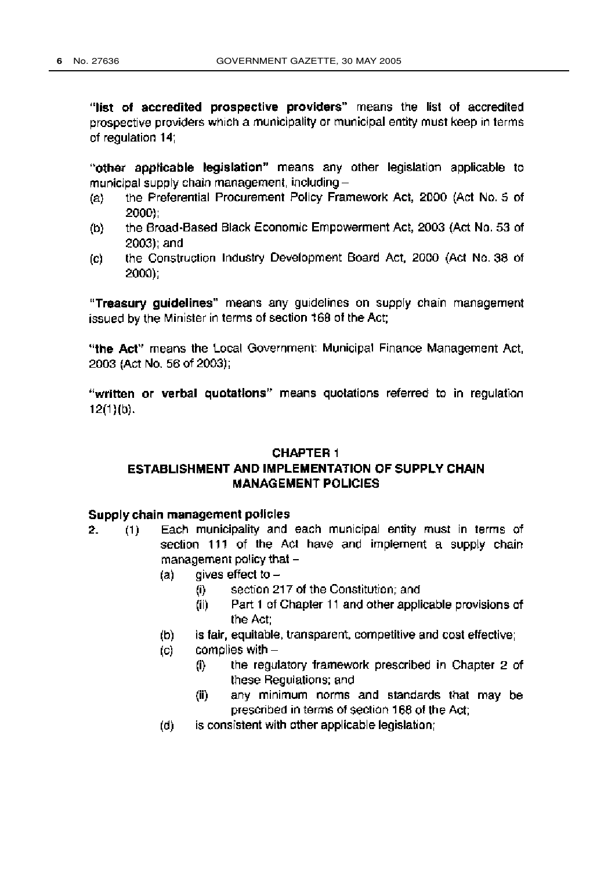"list of accredited prospective providers" means the list of accredited prospective providers which a municipality or municipal entity must keep in terms of regulation 14;

"other applicable legislation" means any other legislation applicable to municipal supply chain management, including-

- the Preferential Procurement Policy Framework Act, 2000 (Act No. 5 of  $(a)$ 2000):
- the Broad-Based Black Economic Empowerment Act, 2003 (Act No. 53 of  $(b)$ 2003); and
- the Construction Industry Development Board Act, 2000 (Act No. 38 of (c) 2000):

"Treasury quidelines" means any quidelines on supply chain management issued by the Minister in terms of section 168 of the Act;

"the Act" means the Local Government: Municipal Finance Management Act. 2003 (Act No. 56 of 2003);

"written or verbal quotations" means quotations referred to in regulation  $12(1)(b)$ .

#### **CHAPTER 1**

# ESTABLISHMENT AND IMPLEMENTATION OF SUPPLY CHAIN **MANAGEMENT POLICIES**

#### Supply chain management policies

- Each municipality and each municipal entity must in terms of  $2.$  $(1)$ section 111 of the Act have and implement a supply chain management policy that  $$ 
	- gives effect to  $(a)$ 
		- section 217 of the Constitution; and  $(i)$
		- $(ii)$ Part 1 of Chapter 11 and other applicable provisions of the Act:
	- $(b)$ is fair, equitable, transparent, competitive and cost effective;
	- complies with  $(c)$ 
		- the regulatory framework prescribed in Chapter 2 of  $(i)$ these Regulations; and
		- any minimum norms and standards that may be  $(ii)$ prescribed in terms of section 168 of the Act:
	- is consistent with other applicable legislation; (d)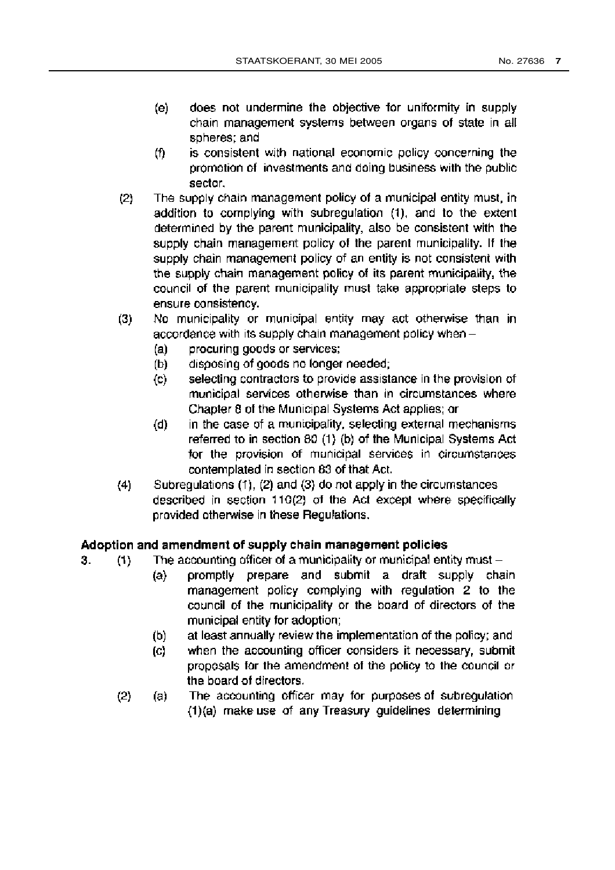- (e) does not undermine the objective for uniformity in supply chain management systems between organs of state in all spheres; and
- is consistent with national economic policy concerning the (f) promotion of investments and doing business with the public sector.
- $(2)$ The supply chain management policy of a municipal entity must, in addition to complying with subregulation (1), and to the extent determined by the parent municipality, also be consistent with the supply chain management policy of the parent municipality. If the supply chain management policy of an entity is not consistent with the supply chain management policy of its parent municipality, the council of the parent municipality must take appropriate steps to ensure consistency.
- No municipality or municipal entity may act otherwise than in  $(3)$ accordance with its supply chain management policy when -
	- $(a)$ procuring goods or services;
	- $(b)$ disposing of goods no longer needed;
	- selecting contractors to provide assistance in the provision of  $\mathbf{(c)}$ municipal services otherwise than in circumstances where Chapter 8 of the Municipal Systems Act applies; or
	- in the case of a municipality, selecting external mechanisms  $(d)$ referred to in section 80 (1) (b) of the Municipal Systems Act for the provision of municipal services in circumstances contemplated in section 83 of that Act.
- $(4)$ Subregulations (1), (2) and (3) do not apply in the circumstances described in section 110(2) of the Act except where specifically provided otherwise in these Regulations.

# Adoption and amendment of supply chain management policies

- The accounting officer of a municipality or municipal entity must  $(1)$ 3.
	- promptly prepare and submit a draft supply chain  $(a)$ management policy complying with regulation 2 to the council of the municipality or the board of directors of the municipal entity for adoption;
	- at least annually review the implementation of the policy; and (b)
	- when the accounting officer considers it necessary, submit  $(c)$ proposals for the amendment of the policy to the council or the board of directors.
	- The accounting officer may for purposes of subregulation  $(2)$ (a) (1)(a) make use of any Treasury guidelines determining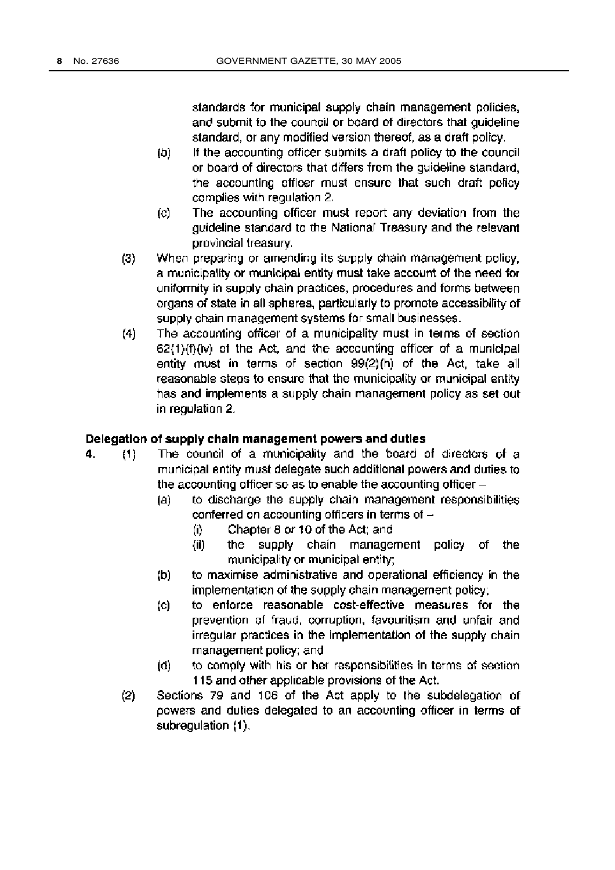standards for municipal supply chain management policies, and submit to the council or board of directors that quideline standard, or any modified version thereof, as a draft policy.

- If the accounting officer submits a draft policy to the council (b) or board of directors that differs from the quideline standard. the accounting officer must ensure that such draft policy complies with regulation 2.
- The accounting officer must report any deviation from the  $(c)$ guideline standard to the National Treasury and the relevant provincial treasury.
- When preparing or amending its supply chain management policy,  $(3)$ a municipality or municipal entity must take account of the need for uniformity in supply chain practices, procedures and forms between organs of state in all spheres, particularly to promote accessibility of supply chain management systems for small businesses.
- The accounting officer of a municipality must in terms of section  $(4)$  $62(1)(f)(iv)$  of the Act, and the accounting officer of a municipal entity must in terms of section 99(2)(h) of the Act, take all reasonable steps to ensure that the municipality or municipal entity has and implements a supply chain management policy as set out in regulation 2.

#### Delegation of supply chain management powers and duties

- The council of a municipality and the board of directors of a 4.  $(1)$ municipal entity must delegate such additional powers and duties to the accounting officer so as to enable the accounting officer -
	- (a) to discharge the supply chain management responsibilities conferred on accounting officers in terms of  $-$ 
		- Chapter 8 or 10 of the Act; and (i)
		- $(ii)$ the supply chain management policy of the municipality or municipal entity;
	- to maximise administrative and operational efficiency in the (b) implementation of the supply chain management policy;
	- to enforce reasonable cost-effective measures for the  $(c)$ prevention of fraud, corruption, favouritism and unfair and irregular practices in the implementation of the supply chain management policy; and
	- to comply with his or her responsibilities in terms of section (d) 115 and other applicable provisions of the Act.
	- Sections 79 and 106 of the Act apply to the subdelegation of  $(2)$ powers and duties delegated to an accounting officer in terms of subregulation (1).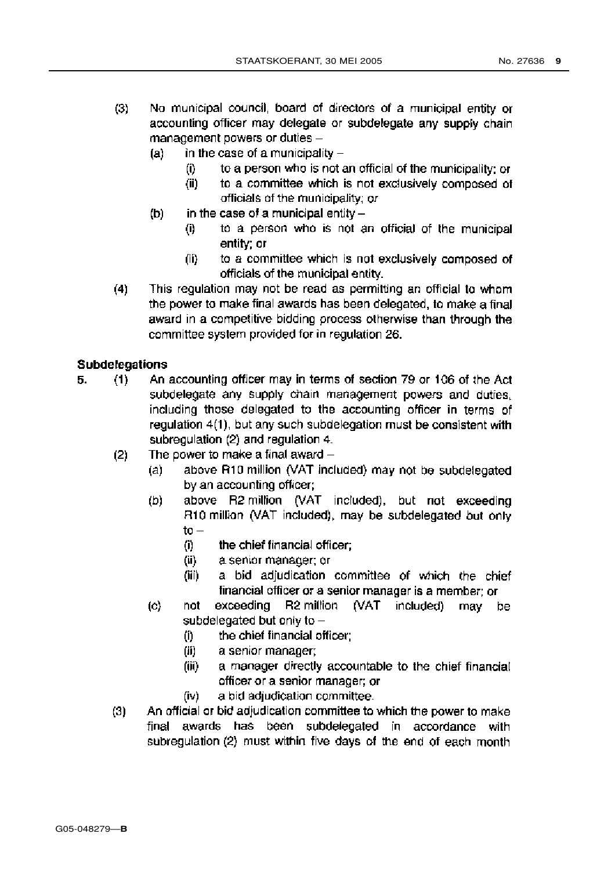- No municipal council, board of directors of a municipal entity or  $(3)$ accounting officer may delegate or subdelegate any supply chain management powers or duties
	- in the case of a municipality  $(a)$ 
		- to a person who is not an official of the municipality; or (i)
		- to a committee which is not exclusively composed of  $(ii)$ officials of the municipality; or
	- (b) in the case of a municipal entity  $$ 
		- to a person who is not an official of the municipal  $\mathbf{u}$ entity: or
		- to a committee which is not exclusively composed of (ii) officials of the municipal entity.
- $(4)$ This regulation may not be read as permitting an official to whom the power to make final awards has been delegated, to make a final award in a competitive bidding process otherwise than through the committee system provided for in regulation 26.

# **Subdelegations**

- 5.  $(1)$ An accounting officer may in terms of section 79 or 106 of the Act subdelegate any supply chain management powers and duties, including those delegated to the accounting officer in terms of regulation 4(1), but any such subdelegation must be consistent with subregulation (2) and regulation 4.
	- The power to make a final award  $(2)$ 
		- above R10 million (VAT included) may not be subdelegated  $(a)$ by an accounting officer;
		- above R2 million (VAT included), but not exceeding  $(b)$ R10 million (VAT included), may be subdelegated but only  $to -$ 
			- (i) the chief financial officer;
			- $(ii)$ a senior manager; or
			- a bid adjudication committee of which the chief (iii) financial officer or a senior manager is a member; or
		- exceeding R2 million (VAT included)  $(c)$ not may be subdelegated but only to  $$ 
			- the chief financial officer;  $(1)$
			- (ii) a senior manager:
			- a manager directly accountable to the chief financial (iii) officer or a senior manager; or
			- (iv) a bid adjudication committee.
	- An official or bid adjudication committee to which the power to make  $(3)$ final awards has been subdelegated in accordance with subregulation (2) must within five days of the end of each month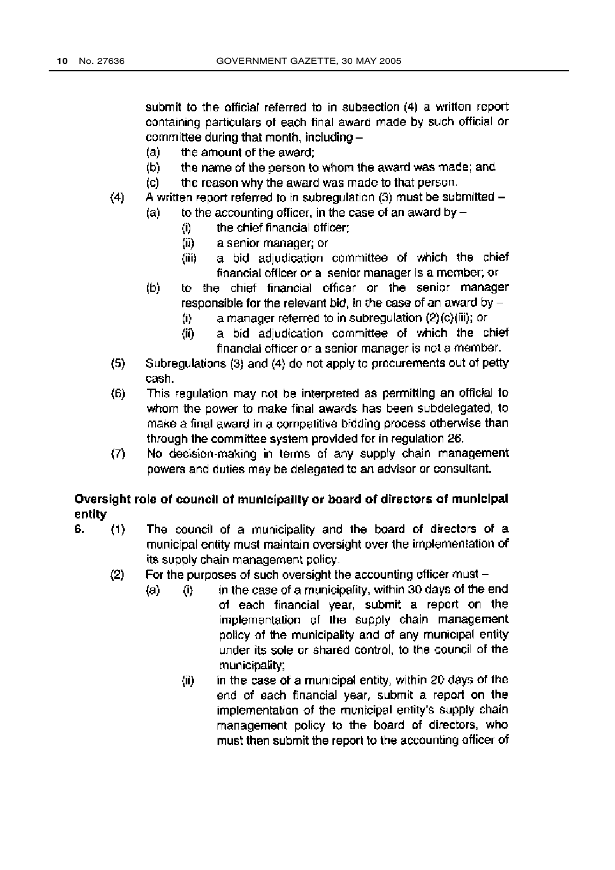submit to the official referred to in subsection (4) a written report containing particulars of each final award made by such official or committee during that month, including -

- the amount of the award:  $(a)$
- (b) the name of the person to whom the award was made; and
- the reason why the award was made to that person. (c)
- A written report referred to in subregulation (3) must be submitted - $(4)$ 
	- to the accounting officer, in the case of an award by  $-$ (a)
		- the chief financial officer:  $(i)$
		- $(ii)$ a senior manager; or
		- a bid adjudication committee of which the chief (iii) financial officer or a senior manager is a member; or
	- to the chief financial officer or the senior manager  $(b)$ responsible for the relevant bid, in the case of an award by  $$ 
		- a manager referred to in subregulation (2)(c)(iii); or (i)
		- a bid adjudication committee of which the chief  $(ii)$ financial officer or a senior manager is not a member.
- Subregulations (3) and (4) do not apply to procurements out of petty  $(5)$ cash.
- This regulation may not be interpreted as permitting an official to  $(6)$ whom the power to make final awards has been subdelegated, to make a final award in a competitive bidding process otherwise than through the committee system provided for in regulation 26.
- $(7)$ No decision-making in terms of any supply chain management powers and duties may be delegated to an advisor or consultant.

# Oversight role of council of municipality or board of directors of municipal entity

The council of a municipality and the board of directors of a 6.  $(1)$ municipal entity must maintain oversight over the implementation of its supply chain management policy.

 $(a)$ 

- $(2)$ For the purposes of such oversight the accounting officer must  $$ 
	- in the case of a municipality, within 30 days of the end  $\langle i \rangle$ of each financial year, submit a report on the implementation of the supply chain management policy of the municipality and of any municipal entity under its sole or shared control, to the council of the municipality:
		- in the case of a municipal entity, within 20 days of the  $(ii)$ end of each financial year, submit a report on the implementation of the municipal entity's supply chain management policy to the board of directors, who must then submit the report to the accounting officer of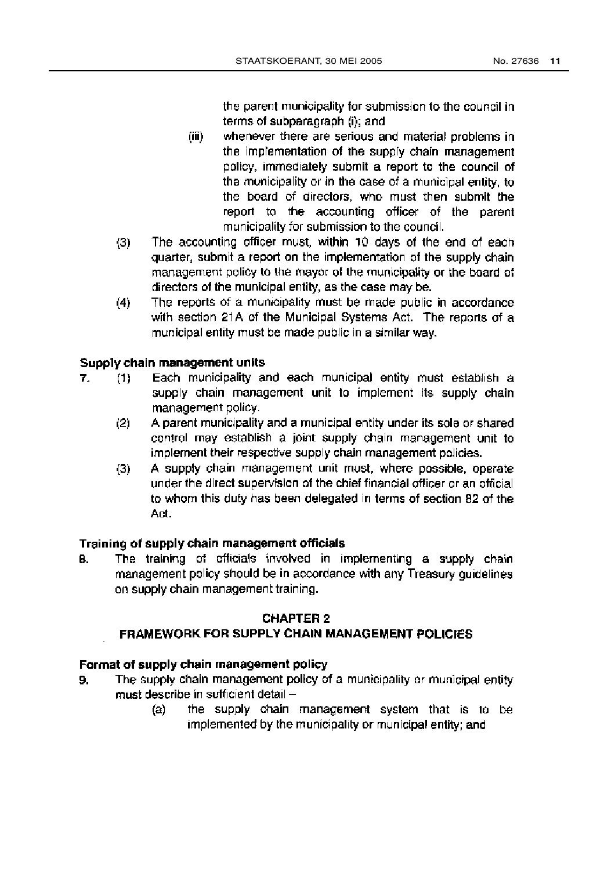the parent municipality for submission to the council in terms of subparagraph (i); and

- $(iii)$ whenever there are serious and material problems in the implementation of the supply chain management policy, immediately submit a report to the council of the municipality or in the case of a municipal entity, to the board of directors, who must then submit the report to the accounting officer of the parent municipality for submission to the council.
- The accounting officer must, within 10 days of the end of each  $(3)$ quarter, submit a report on the implementation of the supply chain management policy to the mayor of the municipality or the board of directors of the municipal entity, as the case may be.
- The reports of a municipality must be made public in accordance  $(4)$ with section 21A of the Municipal Systems Act. The reports of a municipal entity must be made public in a similar way.

#### Supply chain management units

- 7.  $(1)$ Each municipality and each municipal entity must establish a supply chain management unit to implement its supply chain management policy.
	- $(2)$ A parent municipality and a municipal entity under its sole or shared control may establish a joint supply chain management unit to implement their respective supply chain management policies.
	- A supply chain management unit must, where possible, operate  $(3)$ under the direct supervision of the chief financial officer or an official to whom this duty has been delegated in terms of section 82 of the Act.

#### Training of supply chain management officials

The training of officials involved in implementing a supply chain 8. management policy should be in accordance with any Treasury guidelines on supply chain management training.

#### **CHAPTER 2**

#### **FRAMEWORK FOR SUPPLY CHAIN MANAGEMENT POLICIES**

#### Format of supply chain management policy

- The supply chain management policy of a municipality or municipal entity 9. must describe in sufficient detail
	- the supply chain management system that is to be  $(a)$ implemented by the municipality or municipal entity; and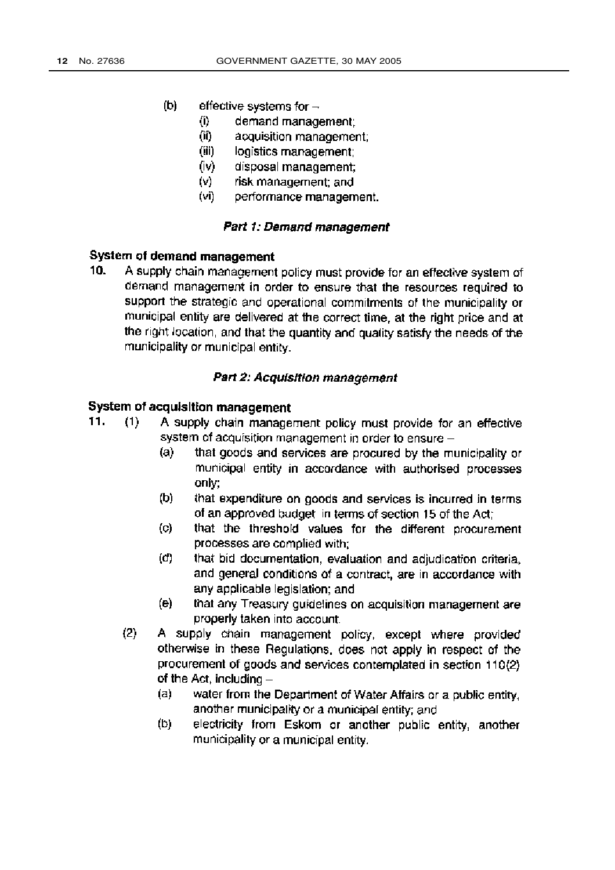- (b) effective systems for  $-$ 
	- $\langle i \rangle$ demand management:
	- (ii) acquisition management:
	- $(iii)$ logistics management:
	- (iv) disposal management:
	- $(v)$ risk management: and
	- $(vi)$ performance management.

#### Part 1: Demand management

# System of demand management

 $10<sub>1</sub>$ A supply chain management policy must provide for an effective system of demand management in order to ensure that the resources required to support the strategic and operational commitments of the municipality or municipal entity are delivered at the correct time, at the right price and at the right location, and that the quantity and quality satisfy the needs of the municipality or municipal entity.

#### Part 2: Acquisition management

# System of acquisition management

- A supply chain management policy must provide for an effective  $11.$  $(1)$ system of acquisition management in order to ensure
	- that goods and services are procured by the municipality or  $(a)$ municipal entity in accordance with authorised processes only:
	- (b) that expenditure on goods and services is incurred in terms of an approved budget in terms of section 15 of the Act;
	- that the threshold values for the different procurement  $\left( \circ \right)$ processes are complied with;
	- $(d)$ that bid documentation, evaluation and adjudication criteria, and general conditions of a contract, are in accordance with any applicable legislation; and
	- $(e)$ that any Treasury guidelines on acquisition management are properly taken into account.
	- A supply chain management policy, except where provided  $(2)$ otherwise in these Regulations, does not apply in respect of the procurement of goods and services contemplated in section 110(2) of the Act, including  $$ 
		- water from the Department of Water Affairs or a public entity,  $(a)$ another municipality or a municipal entity; and
		- (b) electricity from Eskom or another public entity, another municipality or a municipal entity.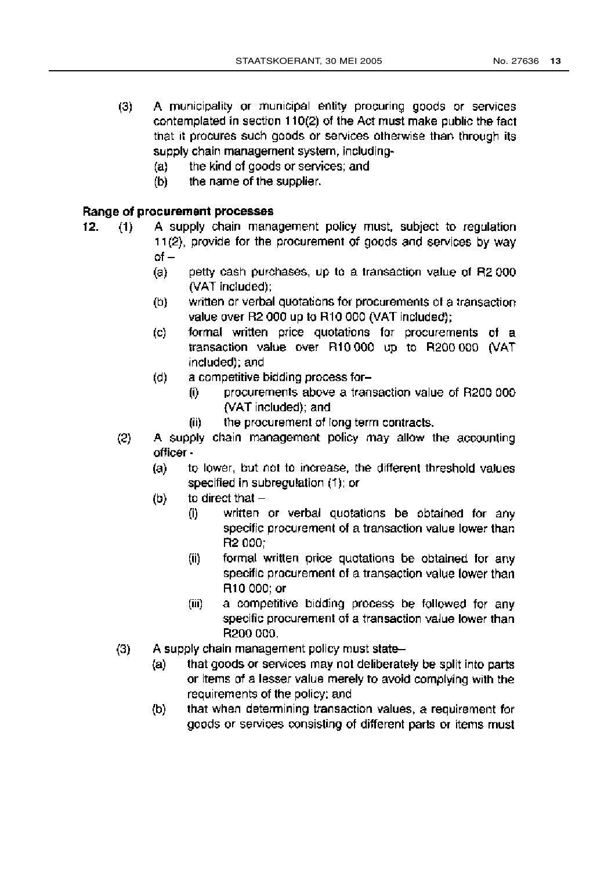- A municipality or municipal entity procuring goods or services  $(3)$ contemplated in section 110(2) of the Act must make public the fact that it procures such goods or services otherwise than through its supply chain management system, including
	- the kind of goods or services; and  $(a)$
	- $(b)$ the name of the supplier.

#### Range of procurement processes

- A supply chain management policy must, subject to regulation  $12.$  $(1)$ 11(2), provide for the procurement of goods and services by way  $of$ 
	- petty cash purchases, up to a transaction value of R2 000  $(a)$ (VAT included);
	- $(b)$ written or verbal quotations for procurements of a transaction value over R2 000 up to R10 000 (VAT included):
	- $(c)$ formal written price quotations for procurements of a transaction value over R10.000 up to R200.000 (VAT included); and
	- $(d)$ a competitive bidding process for
		- procurements above a transaction value of R200 000 (i) (VAT included); and
			- the procurement of long term contracts.  $(ii)$
	- $(2)$ A supply chain management policy may allow the accounting officer
		- to lower, but not to increase, the different threshold values  $(a)$ specified in subregulation (1); or
		- to direct that  $(b)$ 
			- written or verbal quotations be obtained for any  $(i)$ specific procurement of a transaction value lower than R2 000:
			- $(ii)$ formal written price quotations be obtained for any specific procurement of a transaction value lower than R10 000; or
			- a competitive bidding process be followed for any  $(iii)$ specific procurement of a transaction value lower than R200 000.
	- A supply chain management policy must state- $(3)$ 
		- that goods or services may not deliberately be split into parts  $(a)$ or items of a lesser value merely to avoid complying with the requirements of the policy; and
		- that when determining transaction values, a requirement for  $(b)$ goods or services consisting of different parts or items must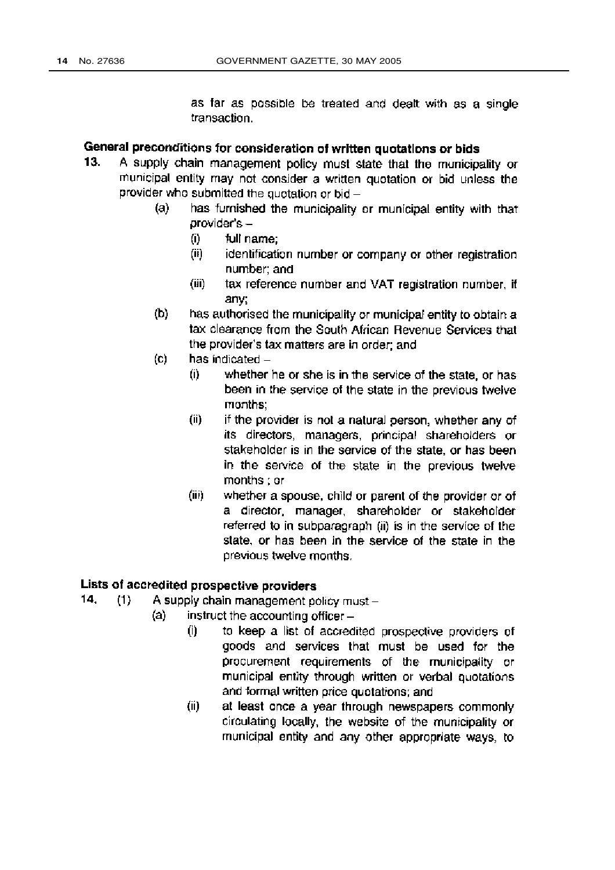as far as possible be treated and dealt with as a single transaction.

# General preconditions for consideration of written quotations or bids

- 13. A supply chain management policy must state that the municipality or municipal entity may not consider a written quotation or bid unless the provider who submitted the quotation or bid -
	- $(a)$ has furnished the municipality or municipal entity with that  $orovider's -$ 
		- $(i)$ full name:
		- (ii) identification number or company or other registration number: and
		- (iii) tax reference number and VAT registration number, if anv;
	- $(b)$ has authorised the municipality or municipal entity to obtain a tax clearance from the South African Revenue Services that the provider's tax matters are in order; and
	- $(c)$ has indicated  $-$ 
		- $\bf{0}$ whether he or she is in the service of the state, or has been in the service of the state in the previous twelve months:
		- if the provider is not a natural person, whether any of  $(ii)$ its directors, managers, principal shareholders or stakeholder is in the service of the state, or has been in the service of the state in the previous twelve months ; or
		- $(iii)$ whether a spouse, child or parent of the provider or of a director, manager, shareholder or stakeholder referred to in subparagraph (ii) is in the service of the state, or has been in the service of the state in the previous twelve months.

# Lists of accredited prospective providers

- 14.  $(1)$ A supply chain management policy must -
	- $(a)$ instruct the accounting officer
		- to keep a list of accredited prospective providers of  $(i)$ goods and services that must be used for the procurement requirements of the municipality or municipal entity through written or verbal quotations and formal written price quotations; and
		- $(ii)$ at least once a year through newspapers commonly circulating locally, the website of the municipality or municipal entity and any other appropriate ways, to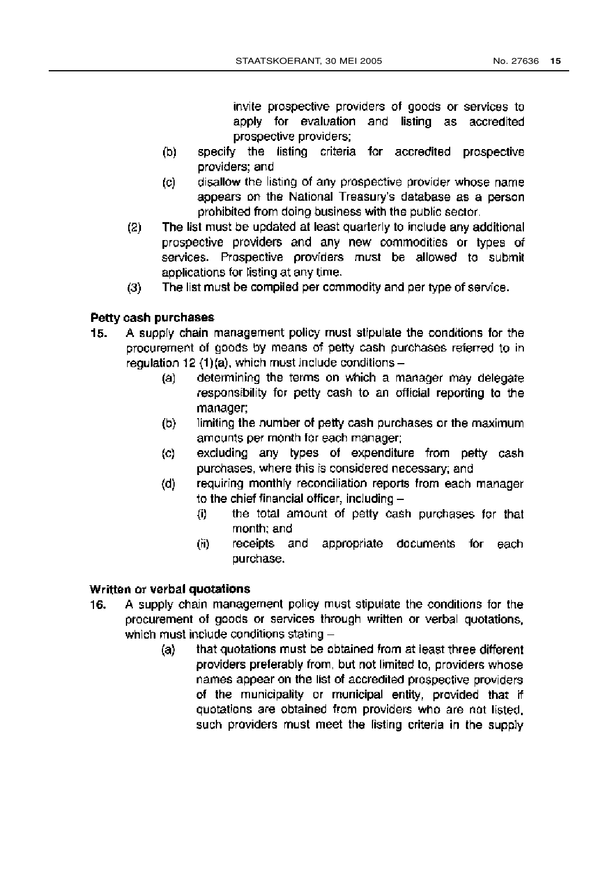invite prospective providers of goods or services to apply for evaluation and listing as accredited prospective providers:

- $(b)$ specify the listing criteria for accredited prospective providers; and
- $(c)$ disallow the listing of any prospective provider whose name appears on the National Treasury's database as a person prohibited from doing business with the public sector.
- The list must be updated at least quarterly to include any additional  $(2)$ prospective providers and any new commodities or types of services. Prospective providers must be allowed to submit applications for listing at any time.
- $(3)$ The list must be compiled per commodity and per type of service.

# Petty cash purchases

- A supply chain management policy must stipulate the conditions for the  $15.$ procurement of goods by means of petty cash purchases referred to inregulation 12  $(1)(a)$ , which must include conditions
	- determining the terms on which a manager may delegate  $(a)$ responsibility for petty cash to an official reporting to the manager:
	- limiting the number of petty cash purchases or the maximum  $(b)$ amounts per month for each manager;
	- $(c)$ excluding any types of expenditure from petty cash purchases, where this is considered necessary; and
	- requiring monthly reconciliation reports from each manager  $(d)$ to the chief financial officer, including  $$ 
		- the total amount of petty cash purchases for that  $(i)$ month; and
		- receipts and appropriate documents for each  $(ii)$ purchase.

# Written or verbal quotations

- A supply chain management policy must stipulate the conditions for the 16. procurement of goods or services through written or verbal guotations. which must include conditions stating
	- that quotations must be obtained from at least three different  $(a)$ providers preferably from, but not limited to, providers whose names appear on the list of accredited prospective providers of the municipality or municipal entity, provided that if quotations are obtained from providers who are not listed. such providers must meet the listing criteria in the supply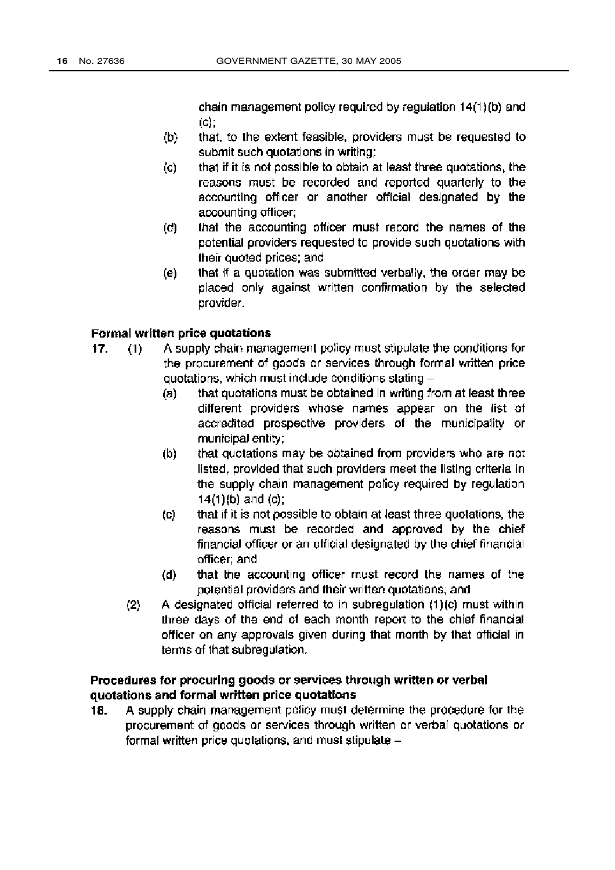chain management policy required by regulation 14(1)(b) and  $(c)$ :

- that, to the extent feasible, providers must be requested to (b) submit such quotations in writing:
- that if it is not possible to obtain at least three quotations, the (c) reasons must be recorded and reported quarterly to the accounting officer or another official designated by the accounting officer:
- that the accounting officer must record the names of the  $(d)$ potential providers requested to provide such quotations with their quoted prices; and
- that if a quotation was submitted verbally, the order may be (e) placed only against written confirmation by the selected provider.

#### Formal written price quotations

- A supply chain management policy must stipulate the conditions for 17.  $(1)$ the procurement of goods or services through formal written price quotations, which must include conditions stating
	- that quotations must be obtained in writing from at least three  $(a)$ different providers whose names appear on the list of accredited prospective providers of the municipality or municipal entity;
	- (b) that quotations may be obtained from providers who are not listed, provided that such providers meet the listing criteria in the supply chain management policy required by regulation  $14(1)(b)$  and  $(c)$ ;
	- that if it is not possible to obtain at least three quotations, the  $(c)$ reasons must be recorded and approved by the chief financial officer or an official designated by the chief financial officer: and
	- that the accounting officer must record the names of the  $(d)$ potential providers and their written quotations; and
	- A designated official referred to in subregulation (1)(c) must within  $(2)$ three days of the end of each month report to the chief financial officer on any approvals given during that month by that official in terms of that subregulation.

### Procedures for procuring goods or services through written or verbal quotations and formal written price quotations

A supply chain management policy must determine the procedure for the 18. procurement of goods or services through written or verbal quotations or formal written price quotations, and must stipulate -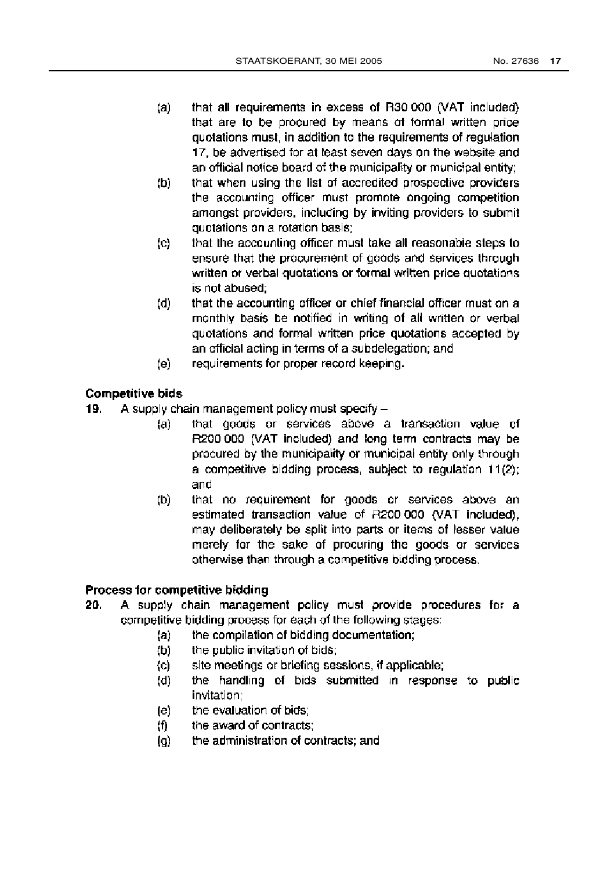- that all requirements in excess of R30 000 (VAT included)  $(a)$ that are to be procured by means of formal written price quotations must, in addition to the requirements of regulation 17, be advertised for at least seven days on the website and an official notice board of the municipality or municipal entity;
- that when using the list of accredited prospective providers (b) the accounting officer must promote ongoing competition amonost providers, including by inviting providers to submit quotations on a rotation basis;
- that the accounting officer must take all reasonable steps to  $(c)$ ensure that the procurement of goods and services through written or verbal quotations or formal written price quotations is not abused:
- that the accounting officer or chief financial officer must on a  $(d)$ monthly basis be notified in writing of all written or verbal quotations and formal written price quotations accepted by an official acting in terms of a subdelegation; and
- requirements for proper record keeping. (e)

# **Competitive bids**

- A supply chain management policy must specify  $-$ 19.
	- that goods or services above a transaction value of  $(a)$ R200 000 (VAT included) and long term contracts may be procured by the municipality or municipal entity only through a competitive bidding process, subject to regulation 11(2); and
	- (b) that no requirement for goods or services above an estimated transaction value of R200 000 (VAT included), may deliberately be split into parts or items of lesser value merely for the sake of procuring the goods or services otherwise than through a competitive bidding process.

#### Process for competitive bidding

- 20. A supply chain management policy must provide procedures for a competitive bidding process for each of the following stages:
	- the compilation of bidding documentation;  $(a)$
	- the public invitation of bids; (b)
	- site meetings or briefing sessions, if applicable;  $(c)$
	- the handling of bids submitted in response to public  $(d)$ invitation:
	- the evaluation of bids:  $(e)$
	- the award of contracts; (f).
	- the administration of contracts; and (Q)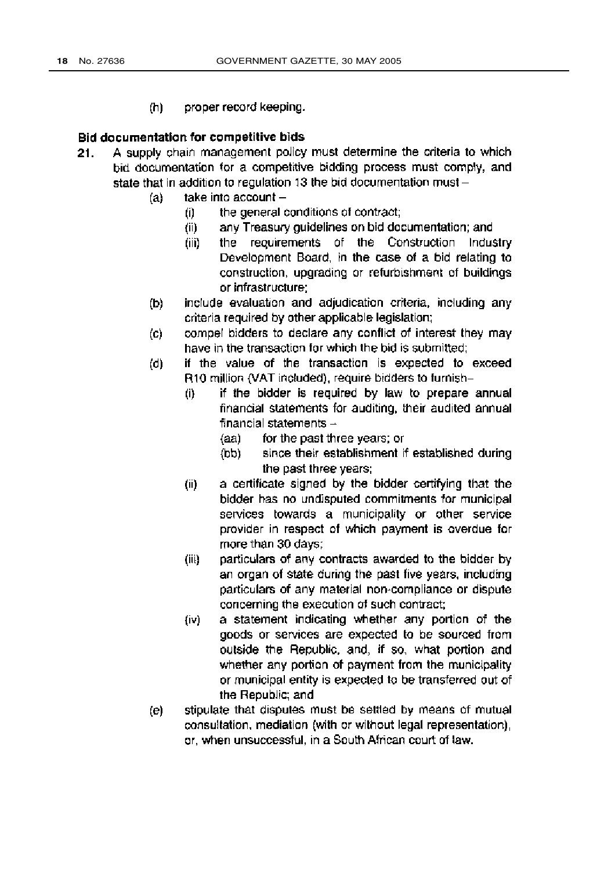$(h)$ proper record keeping.

#### Bid documentation for competitive bids

- A supply chain management policy must determine the criteria to which  $21.$ bid documentation for a competitive bidding process must comply, and state that in addition to regulation 13 the bid documentation must
	- take into account - $(a)$ 
		- the general conditions of contract: (i)
			- any Treasury quidelines on bid documentation; and  $(ii)$
			- (iii) the requirements of the Construction Industry Development Board, in the case of a bid relating to construction, upgrading or refurbishment of buildings or infrastructure;
	- include evaluation and adjudication criteria, including any (b) criteria required by other applicable legislation;
	- compel bidders to declare any conflict of interest they may  $\mathbf{(c)}$ have in the transaction for which the bid is submitted:
	- if the value of the transaction is expected to exceed  $(d)$ R10 million (VAT included), require bidders to furnish
		- if the bidder is required by law to prepare annual (i) financial statements for auditing, their audited annual financial statements  $-$ 
			- $(aa)$ for the past three years; or
			- since their establishment if established during  $(bb)$ the past three years;
		- $(ii)$ a certificate signed by the bidder certifying that the bidder has no undisputed commitments for municipal services towards a municipality or other service provider in respect of which payment is overdue for more than 30 days;
		- particulars of any contracts awarded to the bidder by  $(iii)$ an organ of state during the past five years, including particulars of any material non-compliance or dispute concerning the execution of such contract;
		- a statement indicating whether any portion of the  $(iv)$ goods or services are expected to be sourced from outside the Republic, and, if so, what portion and whether any portion of payment from the municipality or municipal entity is expected to be transferred out of the Republic; and
	- stipulate that disputes must be settled by means of mutual (e) consultation, mediation (with or without legal representation), or, when unsuccessful, in a South African court of law.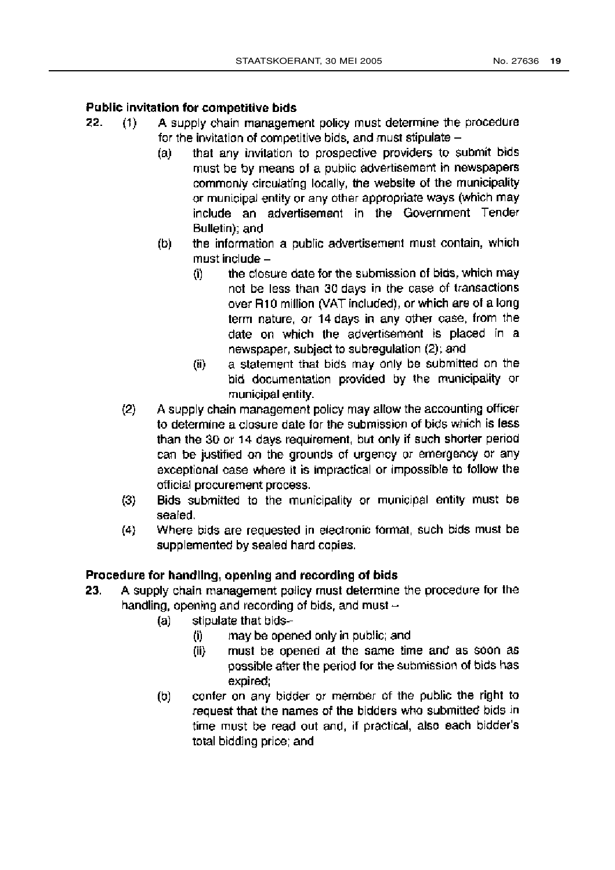#### Public invitation for competitive bids

- 22. A supply chain management policy must determine the procedure  $(1)$ for the invitation of competitive bids, and must stipulate
	- that any invitation to prospective providers to submit bids  $(a)$ must be by means of a public advertisement in newspapers commonly circulating locally, the website of the municipality or municipal entity or any other appropriate ways (which may include an advertisement in the Government Tender Bulletin); and
	- the information a public advertisement must contain, which (b) must include
		- the closure date for the submission of bids, which may (i) not be less than 30 days in the case of transactions over R10 million (VAT included), or which are of a long term nature, or 14 days in any other case, from the date on which the advertisement is placed in a newspaper, subject to subregulation (2); and
		- a statement that bids may only be submitted on the  $(ii)$ bid documentation provided by the municipality or municipal entity.
	- $(2)$ A supply chain management policy may allow the accounting officer to determine a closure date for the submission of bids which is less than the 30 or 14 days requirement, but only if such shorter period can be justified on the grounds of urgency or emergency or any exceptional case where it is impractical or impossible to follow the official procurement process.
	- $(3)$ Bids submitted to the municipality or municipal entity must be sealed.
	- Where bids are requested in electronic format, such bids must be  $(4)$ supplemented by sealed hard copies.

# Procedure for handling, opening and recording of bids

- A supply chain management policy must determine the procedure for the 23. handling, opening and recording of bids, and must
	- stipulate that bids- $(a)$ 
		- may be opened only in public; and  $(0)$
		- must be opened at the same time and as soon as  $(ii)$ possible after the period for the submission of bids has expired;
	- confer on any bidder or member of the public the right to  $(b)$ request that the names of the bidders who submitted bids in time must be read out and, if practical, also each bidder's total bidding price; and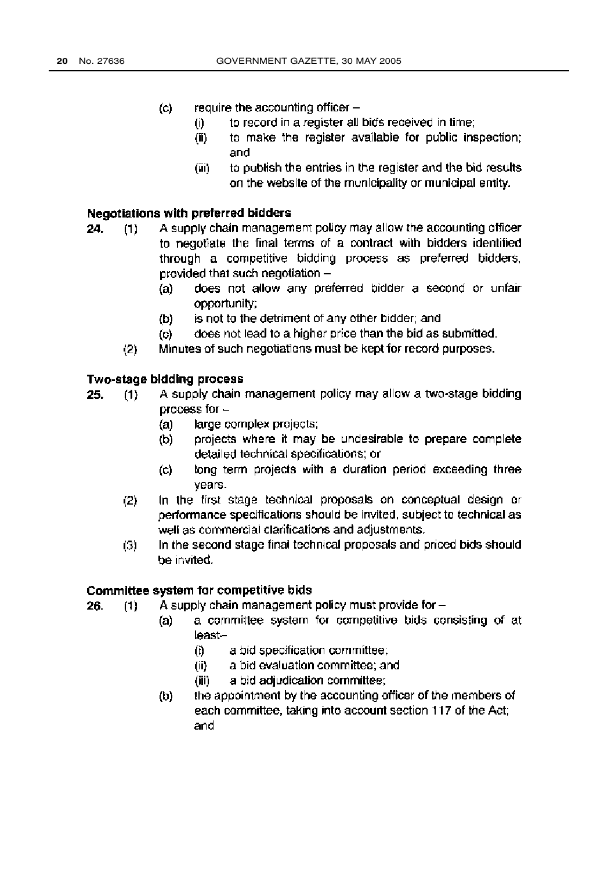- require the accounting officer  $\circ$ 
	- to record in a register all bids received in time;  $(i)$
	- to make the register available for public inspection;  $(ii)$ and
	- to publish the entries in the register and the bid results (iii) on the website of the municipality or municipal entity.

#### Negotiations with preferred bidders

- A supply chain management policy may allow the accounting officer 24.  $(1)$ to negotiate the final terms of a contract with bidders identified through a competitive bidding process as preferred bidders, provided that such negotiation
	- does not allow any preferred bidder a second or unfair  $(a)$ opportunity:
	- is not to the detriment of any other bidder; and  $(b)$
	- $\left( \circ \right)$ does not lead to a higher price than the bid as submitted.
	- $(2)$ Minutes of such negotiations must be kept for record purposes.

#### **Two-stage bidding process**

- A supply chain management policy may allow a two-stage bidding 25.  $(1)$ process for  $$ 
	- large complex projects;  $(a)$
	- projects where it may be undesirable to prepare complete  $(b)$ detailed technical specifications; or
	- long term projects with a duration period exceeding three  $\left( c \right)$ years.
	- $(2)$ In the first stage technical proposals on conceptual design or performance specifications should be invited, subject to technical as well as commercial clarifications and adjustments.
	- In the second stage final technical proposals and priced bids should  $(3)$ be invited.

#### Committee system for competitive bids

- A supply chain management policy must provide for  $-$ 26.  $(1)$ 
	- a committee system for competitive bids consisting of at  $(a)$ least
		- a bid specification committee; (i)
		- a bid evaluation committee; and  $(ii)$
		- a bid adjudication committee; (jii)
	- the appointment by the accounting officer of the members of  $(b)$ each committee, taking into account section 117 of the Act; and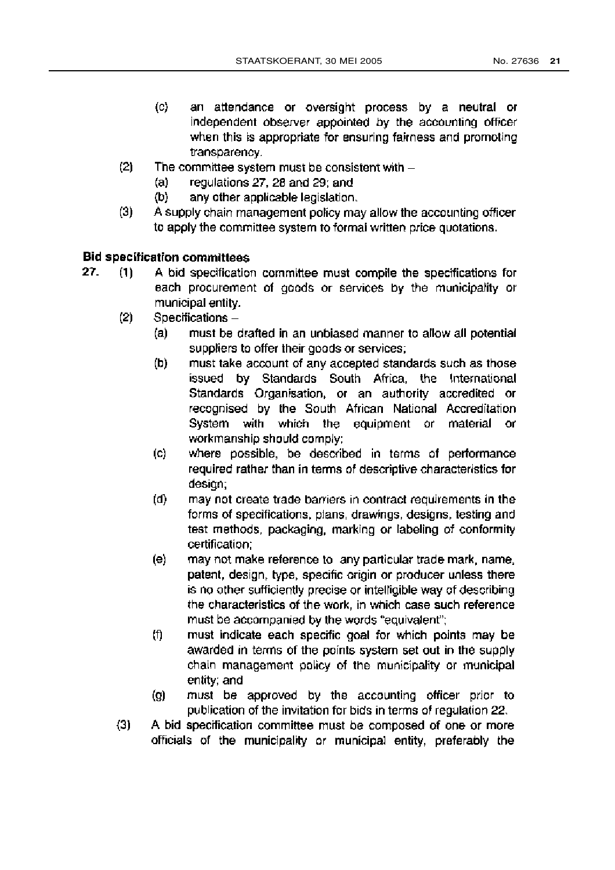- $(c)$ an attendance or oversight process by a neutral or independent observer appointed by the accounting officer when this is appropriate for ensuring fairness and promoting transparency.
- $(2)$ The committee system must be consistent with  $$ 
	- regulations 27, 28 and 29; and  $(a)$
	- $(b)$ any other applicable legislation.
- $(3)$ A supply chain management policy may allow the accounting officer to apply the committee system to formal written price quotations.

# **Bid specification committees**

- 27. A bid specification committee must compile the specifications for  $(1)$ each procurement of goods or services by the municipality or municipal entity.
	- $(2)$ Specifications-
		- $(a)$ must be drafted in an unbiased manner to allow all potential suppliers to offer their goods or services:
		- must take account of any accepted standards such as those  $(b)$ issued by Standards South Africa, the International Standards Organisation, or an authority accredited or recognised by the South African National Accreditation System with which the equipment or material **or** workmanship should comply:
		- (c) where possible, be described in terms of performance required rather than in terms of descriptive characteristics for desian:
		- $(d)$ may not create trade barriers in contract requirements in the forms of specifications, plans, drawings, designs, testing and test methods, packaging, marking or labeling of conformity certification;
		- $(e)$ may not make reference to any particular trade mark, name, patent, design, type, specific origin or producer unless there is no other sufficiently precise or intelligible way of describing the characteristics of the work, in which case such reference must be accompanied by the words "equivalent";
		- (f) must indicate each specific goal for which points may be awarded in terms of the points system set out in the supply chain management policy of the municipality or municipal entity; and
		- must be approved by the accounting officer prior to  $\left( 9\right)$ publication of the invitation for bids in terms of regulation 22.
	- $(3)$ A bid specification committee must be composed of one or more officials of the municipality or municipal entity, preferably the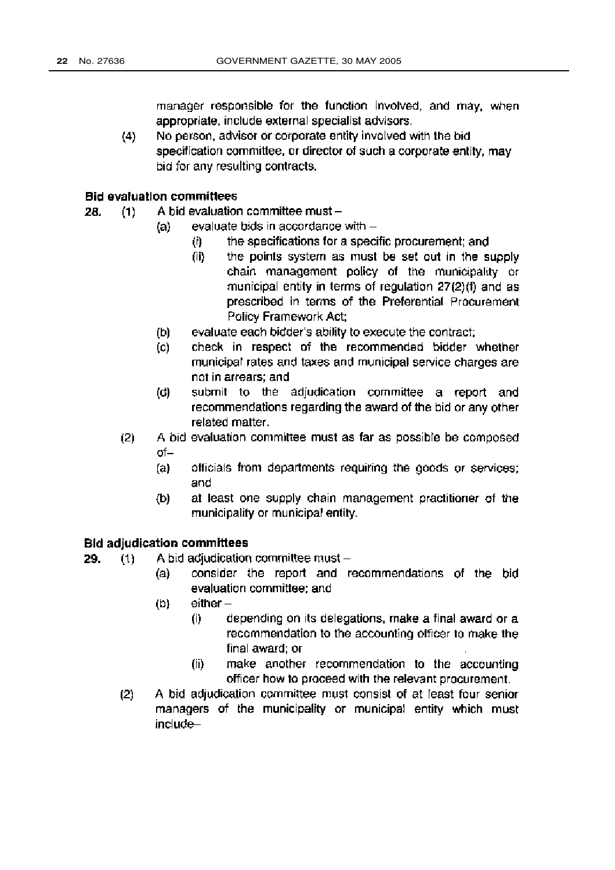manager responsible for the function involved, and may, when appropriate, include external specialist advisors.

No person, advisor or corporate entity involved with the bid  $(4)$ specification committee, or director of such a corporate entity, may bid for any resulting contracts.

#### **Bid evaluation committees**

- A bid evaluation committee must -28.  $(1)$ 
	- evaluate bids in accordance with -(a)
		- the specifications for a specific procurement; and  $(i)$
		- $(ii)$ the points system as must be set out in the supply chain management policy of the municipality or municipal entity in terms of regulation 27(2)(f) and as prescribed in terms of the Preferential Procurement Policy Framework Act;
	- $(b)$ evaluate each bidder's ability to execute the contract;
	- check in respect of the recommended bidder whether  $(c)$ municipal rates and taxes and municipal service charges are not in arrears; and
	- submit to the adjudication committee a report and (d) recommendations regarding the award of the bid or any other related matter.
	- $(2)$ A bid evaluation committee must as far as possible be composed  $of$ 
		- officials from departments requiring the goods or services;  $(a)$ and
		- at least one supply chain management practitioner of the (b) municipality or municipal entity.

# **Bid adjudication committees**

29. A bid adjudication committee must - $(1)$ 

- consider the report and recommendations of the bid  $(a)$ evaluation committee; and
- $either (b)$ 
	- $(i)$ depending on its delegations, make a final award or a recommendation to the accounting officer to make the final award; or
	- make another recommendation to the accounting  $(ii)$ officer how to proceed with the relevant procurement.
- $(2)$ A bid adjudication committee must consist of at least four senior managers of the municipality or municipal entity which must include-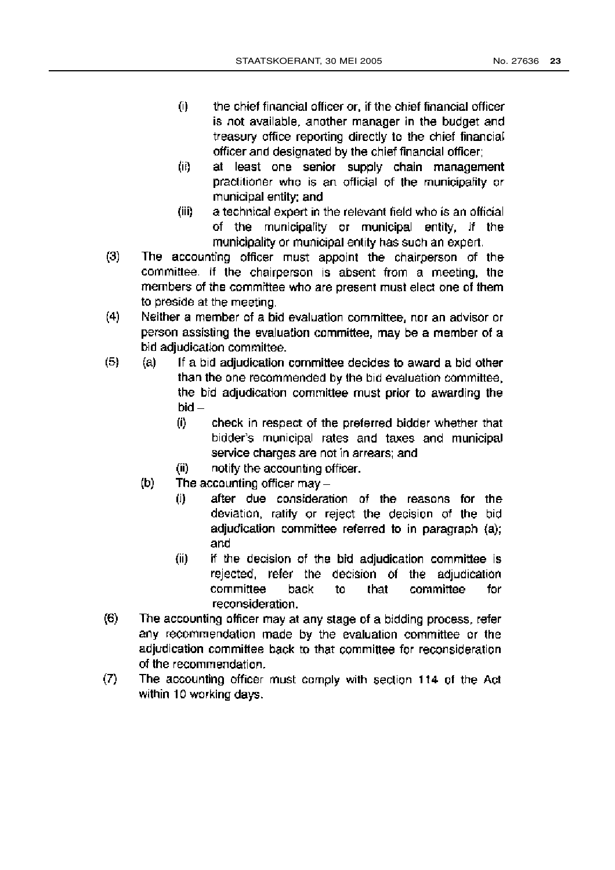- $(i)$ the chief financial officer or, if the chief financial officer is not available, another manager in the budget and treasury office reporting directly to the chief financial officer and designated by the chief financial officer;
- (ii) at least one senior supply chain management practitioner who is an official of the municipality or municipal entity; and
- a technical expert in the relevant field who is an official (iii) of the municipality or municipal entity, if the municipality or municipal entity has such an expert.
- $(3)$ The accounting officer must appoint the chairperson of the committee. If the chairperson is absent from a meeting, the members of the committee who are present must elect one of them to preside at the meeting.
- $(4)$ Neither a member of a bid evaluation committee, nor an advisor or person assisting the evaluation committee, may be a member of a bid adjudication committee.
- $(5)$  $(a)$ If a bid adjudication committee decides to award a bid other than the one recommended by the bid evaluation committee, the bid adjudication committee must prior to awarding the bid-
	- $(i)$ check in respect of the preferred bidder whether that bidder's municipal rates and taxes and municipal service charges are not in arrears; and
	- notify the accounting officer.  $(ii)$
	- The accounting officer may  $(b)$ 
		- after due consideration of the reasons for the  $(i)$ deviation, ratify or reject the decision of the bid adjudication committee referred to in paragraph (a); and
		- $(ii)$ if the decision of the bid adjudication committee is rejected, refer the decision of the adjudication committee committee back to that for reconsideration.
- $(6)$ The accounting officer may at any stage of a bidding process, refer any recommendation made by the evaluation committee or the adjudication committee back to that committee for reconsideration of the recommendation.
- $(7)$ The accounting officer must comply with section 114 of the Act within 10 working days.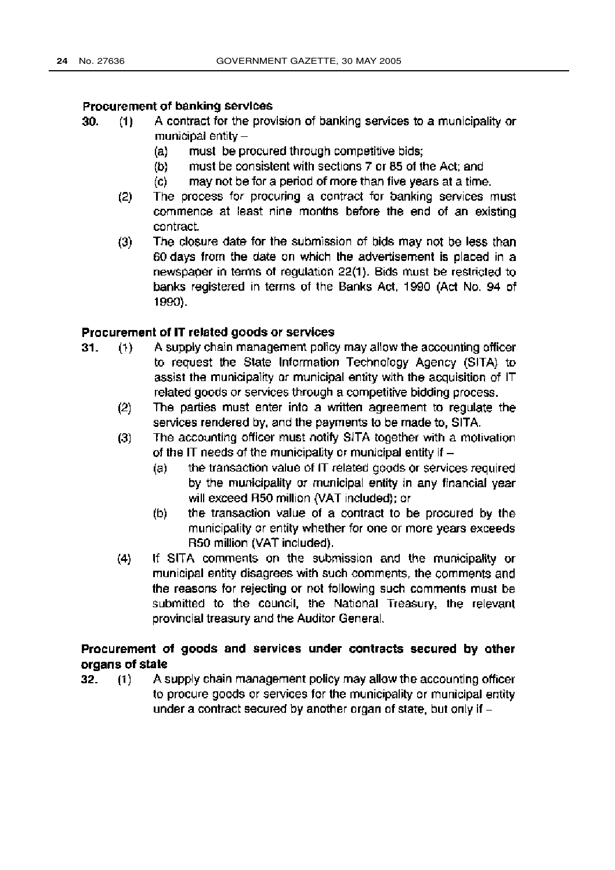#### Procurement of banking services

- A contract for the provision of banking services to a municipality or 30.  $(1)$ municipal entity  $-$ 
	- $(a)$ must be procured through competitive bids;
	- must be consistent with sections 7 or 85 of the Act: and  $(b)$
	- may not be for a period of more than five years at a time.  $(c)$
	- The process for procuring a contract for banking services must  $(2)$ commence at least nine months before the end of an existing contract.
	- $(3)$ The closure date for the submission of bids may not be less than 60 days from the date on which the advertisement is placed in a newspaper in terms of regulation 22(1). Bids must be restricted to banks registered in terms of the Banks Act, 1990 (Act No. 94 of 1990).

#### Procurement of IT related goods or services

- A supply chain management policy may allow the accounting officer  $31.$  $(1)$ to request the State Information Technology Agency (SITA) to assist the municipality or municipal entity with the acquisition of IT related goods or services through a competitive bidding process.
	- The parties must enter into a written agreement to regulate the  $(2)$ services rendered by, and the payments to be made to, SITA.
	- The accounting officer must notify SITA together with a motivation  $(3)$ of the IT needs of the municipality or municipal entity if  $$ 
		- the transaction value of IT related goods or services required  $(a)$ by the municipality or municipal entity in any financial year will exceed R50 million (VAT included); or
		- $(b)$ the transaction value of a contract to be procured by the municipality or entity whether for one or more years exceeds R50 million (VAT included).
	- $(4)$ If SITA comments on the submission and the municipality or municipal entity disagrees with such comments, the comments and the reasons for rejecting or not following such comments must be submitted to the council, the National Treasury, the relevant provincial treasury and the Auditor General.

# Procurement of goods and services under contracts secured by other organs of state

A supply chain management policy may allow the accounting officer 32.  $(1)$ to procure goods or services for the municipality or municipal entity under a contract secured by another organ of state, but only if -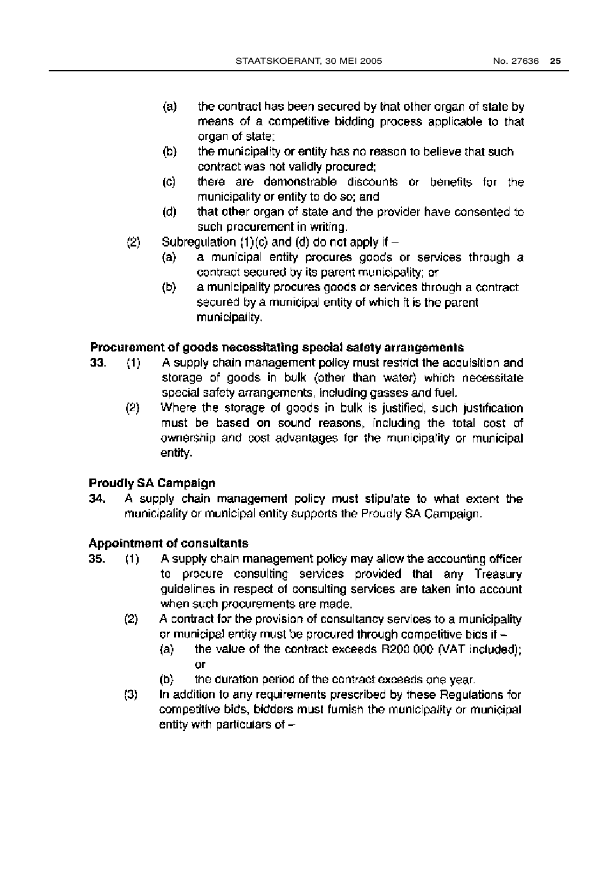- $(a)$ the contract has been secured by that other organ of state by means of a competitive bidding process applicable to that organ of state:
- $(b)$ the municipality or entity has no reason to believe that such contract was not validly procured:
- there are demonstrable discounts or benefits for the  $\left( c \right)$ municipality or entity to do so; and
- that other organ of state and the provider have consented to (d) such procurement in writing.
- Subregulation (1)(c) and (d) do not apply if  $(2)$ 
	- a municipal entity procures goods or services through a  $(a)$ contract secured by its parent municipality; or
	- $(b)$ a municipality procures goods or services through a contract secured by a municipal entity of which it is the parent municipality.

#### Procurement of goods necessitating special safety arrangements

- A supply chain management policy must restrict the acquisition and 33.  $(1)$ storage of goods in bulk (other than water) which necessitate special safety arrangements, including gasses and fuel.
	- $(2)$ Where the storage of goods in bulk is justified, such justification must be based on sound reasons, including the total cost of ownership and cost advantages for the municipality or municipal entity.

#### **Proudly SA Campaign**

A supply chain management policy must stipulate to what extent the 34. municipality or municipal entity supports the Proudly SA Campaign.

#### **Appointment of consultants**

- 35. A supply chain management policy may allow the accounting officer  $(1)$ to procure consulting services provided that any Treasury guidelines in respect of consulting services are taken into account when such procurements are made.
	- $(2)$ A contract for the provision of consultancy services to a municipality or municipal entity must be procured through competitive bids if
		- the value of the contract exceeds R200 000 (VAT included);  $(a)$ **OF**
		- $(b)$ the duration period of the contract exceeds one year.
	- $(3)$ In addition to any requirements prescribed by these Regulations for competitive bids, bidders must furnish the municipality or municipal entity with particulars of -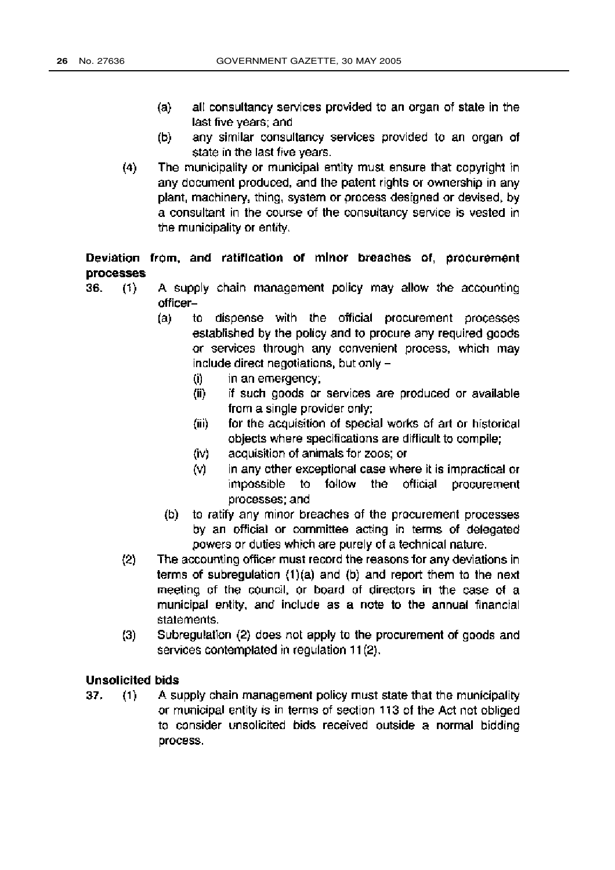- all consultancy services provided to an organ of state in the  $(a)$ last five years; and
- any similar consultancy services provided to an organ of (b) state in the last five years.
- $(4)$ The municipality or municipal entity must ensure that copyright in any document produced, and the patent rights or ownership in any plant, machinery, thing, system or process designed or devised, by a consultant in the course of the consultancy service is vested in the municipality or entity.

# Deviation from, and ratification of minor breaches of, procurement processes

- A supply chain management policy may allow the accounting 36.  $(1)$ officer
	- to dispense with the official procurement processes (a) established by the policy and to procure any required goods or services through any convenient process, which may include direct negotiations, but only
		- in an emergency: (i)
		- if such goods or services are produced or available  $(ii)$ from a single provider only;
		- for the acquisition of special works of art or historical  $(ii)$ objects where specifications are difficult to compile:
		- (iv) acquisition of animals for zoos; or
		- $(\vee)$ in any other exceptional case where it is impractical or to follow the official procurement impossible processes; and
		- (b) to ratify any minor breaches of the procurement processes by an official or committee acting in terms of delegated powers or duties which are purely of a technical nature.
	- The accounting officer must record the reasons for any deviations in  $(2)$ terms of subregulation (1)(a) and (b) and report them to the next meeting of the council, or board of directors in the case of a municipal entity, and include as a note to the annual financial statements.
	- $(3)$ Subregulation (2) does not apply to the procurement of goods and services contemplated in regulation 11(2).

#### **Unsolicited bids**

37. A supply chain management policy must state that the municipality  $(1)$ or municipal entity is in terms of section 113 of the Act not obliged to consider unsolicited bids received outside a normal bidding process.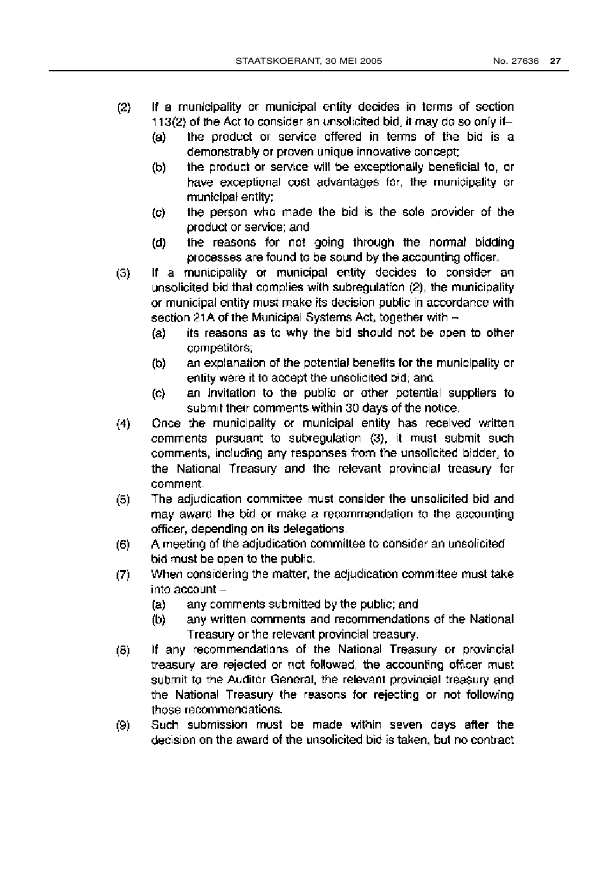- $(2)$ If a municipality or municipal entity decides in terms of section 113(2) of the Act to consider an unsolicited bid, it may do so only if
	- the product or service offered in terms of the bid is a  $(a)$ demonstrably or proven unique innovative concept;
	- the product or service will be exceptionally beneficial to, or  $(b)$ have exceptional cost advantages for, the municipality or municipal entity;
	- the person who made the bid is the sole provider of the  $\left( \text{c} \right)$ product or service; and
	- the reasons for not going through the normal bidding  $(d)$ processes are found to be sound by the accounting officer,
- If a municipality or municipal entity decides to consider an  $(3)$ unsolicited bid that complies with subregulation (2), the municipality or municipal entity must make its decision public in accordance with section 21A of the Municipal Systems Act, together with
	- its reasons as to why the bid should not be open to other  $(a)$ competitors:
	- an explanation of the potential benefits for the municipality or  $(b)$ entity were it to accept the unsolicited bid; and
	- an invitation to the public or other potential suppliers to  $\mathcal{L}$ submit their comments within 30 days of the notice.
- Once the municipality or municipal entity has received written  $(4)$ comments pursuant to subregulation (3), it must submit such comments, including any responses from the unsolicited bidder, to the National Treasury and the relevant provincial treasury for comment.
- $(5)$ The adjudication committee must consider the unsolicited bid and may award the bid or make a recommendation to the accounting officer, depending on its delegations.
- A meeting of the adjudication committee to consider an unsolicited  $(6)$ bid must be open to the public.
- When considering the matter, the adjudication committee must take  $(7)$ into account -
	- $(a)$ any comments submitted by the public; and
	- (b) any written comments and recommendations of the National Treasury or the relevant provincial treasury.
- If any recommendations of the National Treasury or provincial  $(8)$ treasury are rejected or not followed, the accounting officer must submit to the Auditor General, the relevant provincial treasury and the National Treasury the reasons for rejecting or not following those recommendations.
- Such submission must be made within seven days after the  $(9)$ decision on the award of the unsolicited bid is taken, but no contract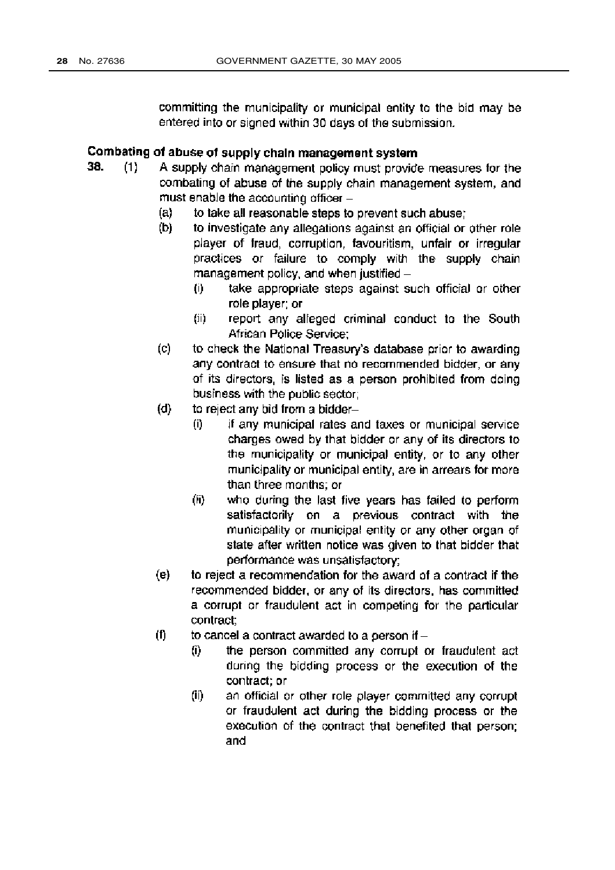committing the municipality or municipal entity to the bid may be entered into or signed within 30 days of the submission.

# Combating of abuse of supply chain management system

- 38.  $(1)$ A supply chain management policy must provide measures for the combating of abuse of the supply chain management system, and must enable the accounting officer -
	- $(a)$ to take all reasonable steps to prevent such abuse:
	- (b) to investigate any allegations against an official or other role player of fraud, corruption, favouritism, unfair or irregular practices or failure to comply with the supply chain management policy, and when justified
		- take appropriate steps against such official or other  $(i)$ role player: or
		- $(ii)$ report any alleged criminal conduct to the South African Police Service:
	- to check the National Treasury's database prior to awarding  $(c)$ any contract to ensure that no recommended bidder, or any of its directors, is listed as a person prohibited from doing business with the public sector;
	- $(d)$ to reject any bid from a bidder
		- if any municipal rates and taxes or municipal service  $(i)$ charges owed by that bidder or any of its directors to the municipality or municipal entity, or to any other municipality or municipal entity, are in arrears for more than three months: or
		- (ii) who during the last five years has failed to perform satisfactorily on a previous contract with the municipality or municipal entity or any other organ of state after written notice was given to that bidder that performance was unsatisfactory;
	- $(e)$ to reject a recommendation for the award of a contract if the recommended bidder, or any of its directors, has committed a corrupt or fraudulent act in competing for the particular contract:
	- (f) to cancel a contract awarded to a person if  $-$ 
		- (i) the person committed any corrupt or fraudulent act during the bidding process or the execution of the contract; or
		- an official or other role player committed any corrupt  $(ii)$ or fraudulent act during the bidding process or the execution of the contract that benefited that person; and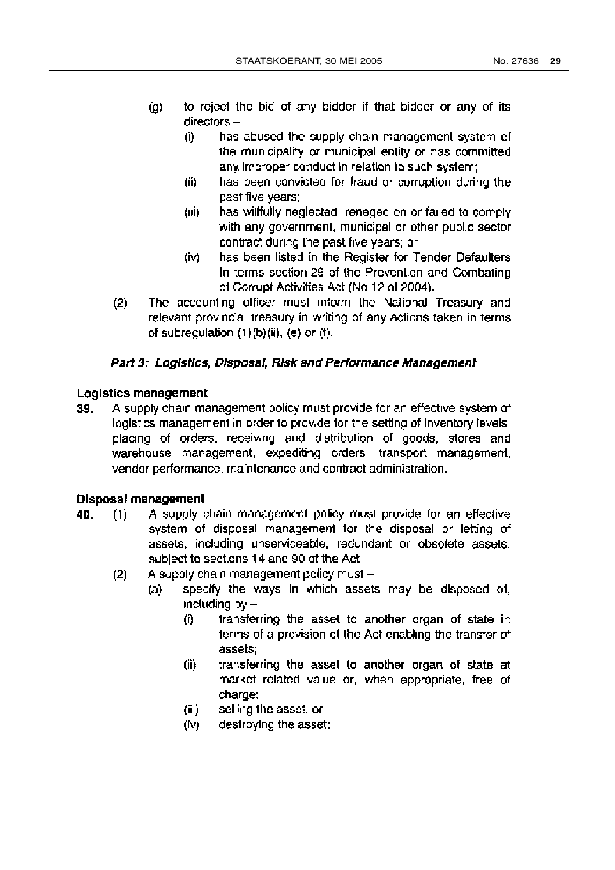- to reject the bid of any bidder if that bidder or any of its  $\left( q\right)$  $directors$ 
	- has abused the supply chain management system of (i) the municipality or municipal entity or has committed any improper conduct in relation to such system:
	- (ii) has been convicted for fraud or corruption during the past five years;
	- (iii) has willfully neglected, reneged on or failed to comply with any government, municipal or other public sector contract during the past five years; or
	- has been listed in the Register for Tender Defaulters (iv) In terms section 29 of the Prevention and Combating of Corrupt Activities Act (No 12 of 2004).
- $(2)$ The accounting officer must inform the National Treasury and relevant provincial treasury in writing of any actions taken in terms of subregulation  $(1)(b)(ii)$ ,  $(e)$  or  $(f)$ .

#### Part 3: Logistics, Disposal, Risk and Performance Management

#### Logistics management

A supply chain management policy must provide for an effective system of 39. logistics management in order to provide for the setting of inventory levels, placing of orders, receiving and distribution of goods, stores and warehouse management, expediting orders, transport management, vendor performance, maintenance and contract administration.

#### Disposal management

- A supply chain management policy must provide for an effective 40.  $(1)$ system of disposal management for the disposal or letting of assets, including unserviceable, redundant or obsolete assets, subject to sections 14 and 90 of the Act
	- A supply chain management policy must - $(2)$ 
		- specify the ways in which assets may be disposed of,  $(a)$ including  $by -$ 
			- $(i)$ transferring the asset to another organ of state in terms of a provision of the Act enabling the transfer of assets:
			- transferring the asset to another organ of state at  $(ii)$ market related value or, when appropriate, free of charge;
			- selling the asset; or  $(iii)$
			- destroying the asset; (iv)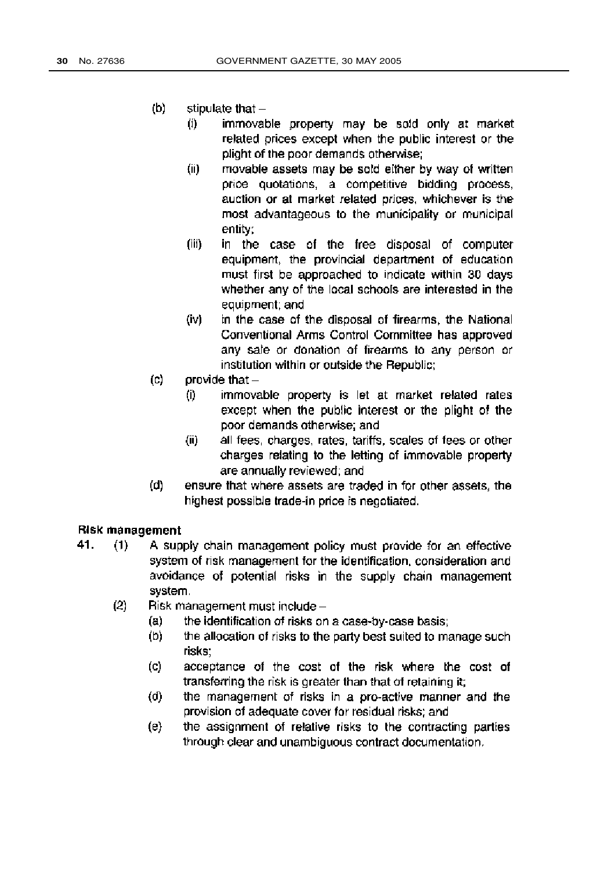- $(b)$ stipulate that  $$ 
	- immovable property may be sold only at market  $(i)$ related prices except when the public interest or the plight of the poor demands otherwise:
	- $(ii)$ movable assets may be sold either by way of written price quotations, a competitive bidding process, auction or at market related prices, whichever is the most advantageous to the municipality or municipal entity:
	- $(iii)$ in the case of the free disposal of computer equipment, the provincial department of education must first be approached to indicate within 30 days whether any of the local schools are interested in the equipment; and
	- $(iv)$ in the case of the disposal of firearms, the National Conventional Arms Control Committee has approved any sale or donation of firearms to any person or institution within or outside the Republic;
- $(c)$ provide that  $-$ 
	- $(1)$ immovable property is let at market related rates except when the public interest or the plight of the poor demands otherwise; and
	- $(ii)$ all fees, charges, rates, tariffs, scales of fees or other charges relating to the letting of immovable property are annually reviewed; and
- ensure that where assets are traded in for other assets, the  $(d)$ highest possible trade-in price is negotiated.

#### Risk management

- 41.  $(1)$ A supply chain management policy must provide for an effective system of risk management for the identification, consideration and avoidance of potential risks in the supply chain management system.
	- $(2)$ Risk management must include -
		- $(a)$ the identification of risks on a case-by-case basis;
		- $(b)$ the allocation of risks to the party best suited to manage such risks:
		- acceptance of the cost of the risk where the cost of (c) transferring the risk is greater than that of retaining it;
		- the management of risks in a pro-active manner and the  $(d)$ provision of adequate cover for residual risks; and
		- the assignment of relative risks to the contracting parties (e) through clear and unambiguous contract documentation.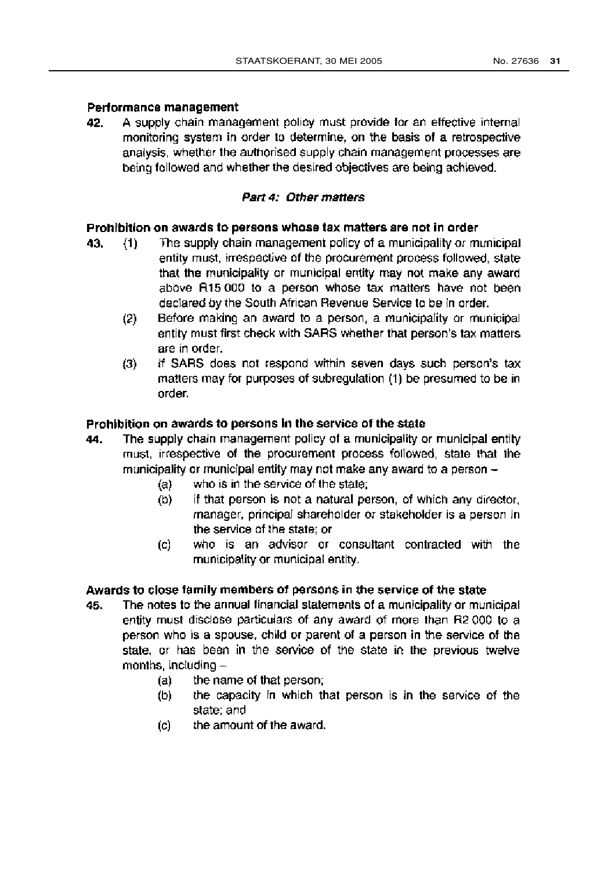### Performance management

A supply chain management policy must provide for an effective internal 42. monitoring system in order to determine, on the basis of a retrospective analysis, whether the authorised supply chain management processes are being followed and whether the desired objectives are being achieved.

# Part 4: Other matters

#### Prohibition on awards to persons whose tax matters are not in order

- The supply chain management policy of a municipality or municipal 43.  $(1)$ entity must, irrespective of the procurement process followed, state that the municipality or municipal entity may not make any award above R15 000 to a person whose tax matters have not been declared by the South African Revenue Service to be in order.
	- Before making an award to a person, a municipality or municipal  $(2)$ entity must first check with SARS whether that person's tax matters are in order.
	- If SARS does not respond within seven days such person's tax  $(3)$ matters may for purposes of subregulation (1) be presumed to be in order.

# Prohibition on awards to persons in the service of the state

- The supply chain management policy of a municipality or municipal entity 44. must, irrespective of the procurement process followed, state that the municipality or municipal entity may not make any award to a person
	- who is in the service of the state:  $(a)$
	- $(b)$ if that person is not a natural person, of which any director, manager, principal shareholder or stakeholder is a person in the service of the state: or
	- who is an advisor or consultant contracted with the  $(c)$ municipality or municipal entity.

#### Awards to close family members of persons in the service of the state

- The notes to the annual financial statements of a municipality or municipal 45. entity must disclose particulars of any award of more than R2 000 to a person who is a spouse, child or parent of a person in the service of the state, or has been in the service of the state in the previous twelve months, including  $$ 
	- the name of that person; (a)
	- the capacity in which that person is in the service of the (b) state: and
	- the amount of the award.  $(c)$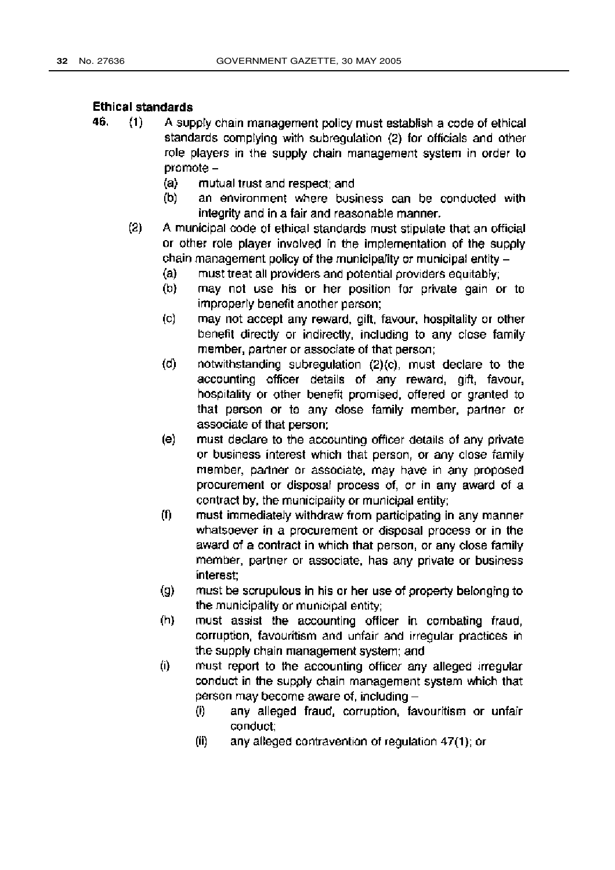#### **Ethical standards**

- 46.  $(1)$ A supply chain management policy must establish a code of ethical standards complying with subregulation (2) for officials and other role players in the supply chain management system in order to promote -
	- $(a)$ mutual trust and respect; and
	- $(b)$ an environment where business can be conducted with integrity and in a fair and reasonable manner.
	- $(2)$ A municipal code of ethical standards must stipulate that an official or other role player involved in the implementation of the supply chain management policy of the municipality or municipal entity
		- must treat all providers and potential providers equitably;  $(a)$
		- $(b)$ may not use his or her position for private gain or to improperly benefit another person;
		- $\left( c \right)$ may not accept any reward, gift, favour, hospitality or other benefit directly or indirectly, including to any close family member, partner or associate of that person;
		- $(d)$ notwithstanding subregulation (2)(c), must declare to the accounting officer details of any reward, gift, favour, hospitality or other benefit promised, offered or granted to that person or to any close family member, partner or associate of that person:
		- $(e)$ must declare to the accounting officer details of any private or business interest which that person, or any close family member, partner or associate, may have in any proposed procurement or disposal process of, or in any award of a contract by, the municipality or municipal entity;
		- $(f)$ must immediately withdraw from participating in any manner. whatsoever in a procurement or disposal process or in the award of a contract in which that person, or any close family member, partner or associate, has any private or business interest:
		- $\left( 9\right)$ must be scrupulous in his or her use of property belonging to the municipality or municipal entity;
		- $(h)$ must assist the accounting officer in combating fraud, corruption, favouritism and unfair and irregular practices in the supply chain management system; and
		- $(i)$ must report to the accounting officer any alleged irregular conduct in the supply chain management system which that person may become aware of, including -
			- $(i)$ any alleged fraud, corruption, favouritism or unfair conduct:
			- (ii) any alleged contravention of regulation 47(1); or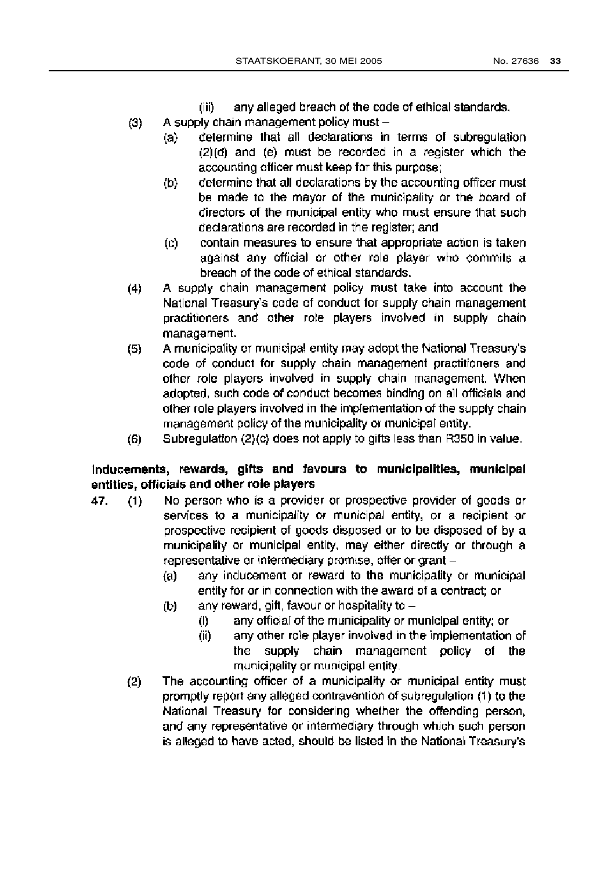- (iii) any alleged breach of the code of ethical standards.
- A supply chain management policy must - $(3)$ 
	- determine that all declarations in terms of subregulation  $(a)$  $(2)(d)$  and  $(e)$  must be recorded in a register which the accounting officer must keep for this purpose;
	- determine that all declarations by the accounting officer must  $(b)$ be made to the mayor of the municipality or the board of directors of the municipal entity who must ensure that such declarations are recorded in the register; and
	- contain measures to ensure that appropriate action is taken  $(c)$ against any official or other role player who commits a breach of the code of ethical standards.
- A supply chain management policy must take into account the  $(4)$ National Treasury's code of conduct for supply chain management practitioners and other role players involved in supply chain management.
- A municipality or municipal entity may adopt the National Treasury's  $(5)$ code of conduct for supply chain management practitioners and other role players involved in supply chain management. When adopted, such code of conduct becomes binding on all officials and other role players involved in the implementation of the supply chain management policy of the municipality or municipal entity.
- Subregulation (2)(c) does not apply to gifts less than R350 in value.  $(6)$

# Inducements, rewards, gifts and favours to municipalities, municipal entities, officials and other role players

- No person who is a provider or prospective provider of goods or  $(1)$ 47. services to a municipality or municipal entity, or a recipient or prospective recipient of goods disposed or to be disposed of by a municipality or municipal entity, may either directly or through a representative or intermediary promise, offer or grant
	- any inducement or reward to the municipality or municipal  $(a)$ entity for or in connection with the award of a contract; or
	- any reward, gift, favour or hospitality to -(b)
		- any official of the municipality or municipal entity; or  $(i)$
		- any other role player involved in the implementation of (ii) the supply chain management policy of the municipality or municipal entity.
	- The accounting officer of a municipality or municipal entity must  $(2)$ promptly report any alleged contravention of subregulation (1) to the National Treasury for considering whether the offending person, and any representative or intermediary through which such person. is alleged to have acted, should be listed in the National Treasury's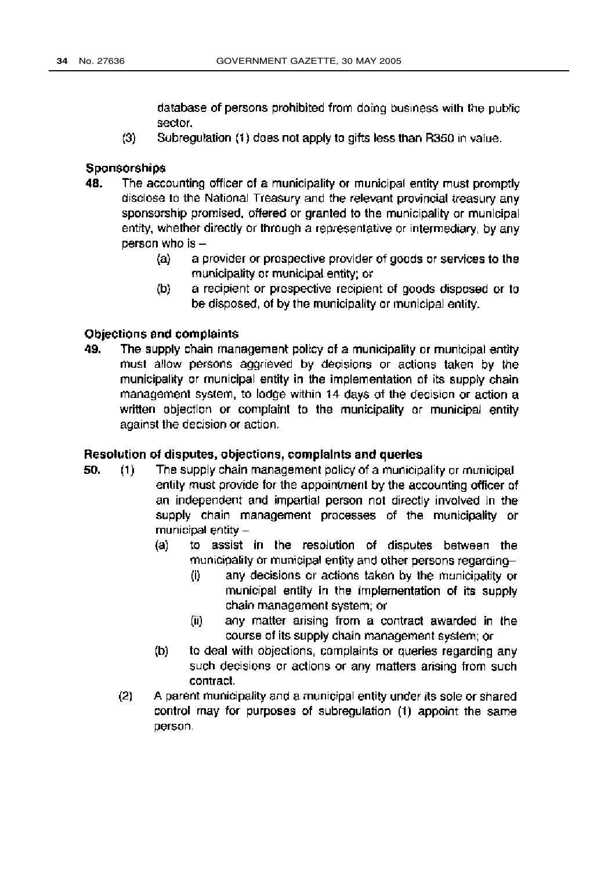database of persons prohibited from doing business with the public sector.

 $(3)$ Subregulation (1) does not apply to gifts less than R350 in value.

#### Sponsorships

- 48. The accounting officer of a municipality or municipal entity must promptly disclose to the National Treasury and the relevant provincial treasury any sponsorship promised, offered or granted to the municipality or municipal entity, whether directly or through a representative or intermediary, by any person who is
	- a provider or prospective provider of goods or services to the  $(a)$ municipality or municipal entity; or
	- a recipient or prospective recipient of goods disposed or to  $(b)$ be disposed, of by the municipality or municipal entity.

#### Objections and complaints

49. The supply chain management policy of a municipality or municipal entity must allow persons aggrieved by decisions or actions taken by the municipality or municipal entity in the implementation of its supply chain management system, to lodge within 14 days of the decision or action a written objection or complaint to the municipality or municipal entity against the decision or action.

#### Resolution of disputes, objections, complaints and queries

- The supply chain management policy of a municipality or municipal 50.  $(1)$ entity must provide for the appointment by the accounting officer of an independent and impartial person not directly involved in the supply chain management processes of the municipality or municipal entity -
	- $(a)$ to assist in the resolution of disputes between the municipality or municipal entity and other persons regarding
		- any decisions or actions taken by the municipality or  $(i)$ municipal entity in the implementation of its supply chain management system; or
		- any matter arising from a contract awarded in the (ii) course of its supply chain management system; or
	- (b) to deal with objections, complaints or queries regarding any such decisions or actions or any matters arising from such contract.
	- $(2)$ A parent municipality and a municipal entity under its sole or shared control may for purposes of subregulation (1) appoint the same person.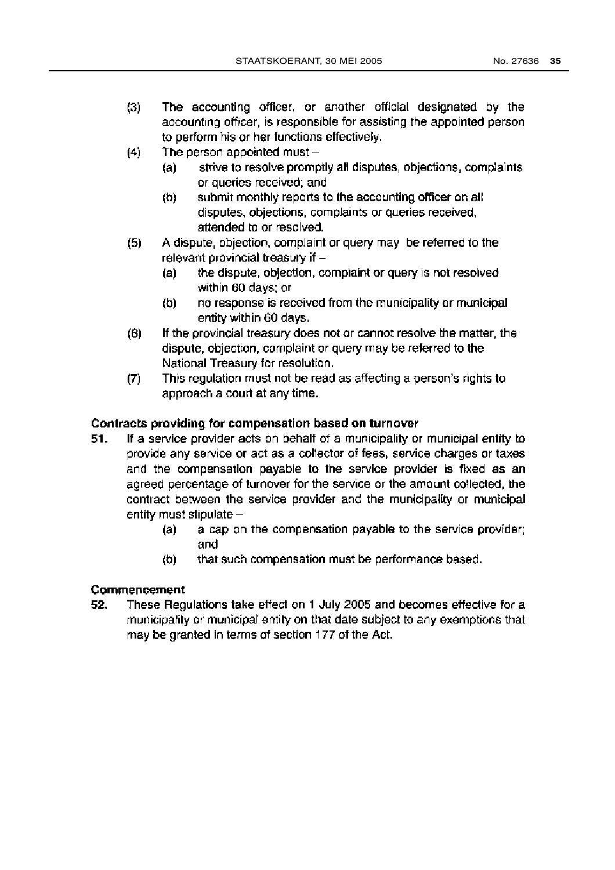- The accounting officer, or another official designated by the  $(3)$ accounting officer, is responsible for assisting the appointed person to perform his or her functions effectively.
- $(4)$ The person appointed must
	- strive to resolve promotly all disputes, objections, complaints (a) or queries received; and
	- submit monthly reports to the accounting officer on all  $(b)$ disputes, objections, complaints or queries received, attended to or resolved.
- A dispute, objection, complaint or query may be referred to the  $(5)$ relevant provincial treasury if  $$ 
	- the dispute, objection, complaint or query is not resolved (a) within 60 days; or
	- $(b)$ no response is received from the municipality or municipal entity within 60 days.
- If the provincial treasury does not or cannot resolve the matter, the  $(6)$ dispute, objection, complaint or query may be referred to the National Treasury for resolution.
- This regulation must not be read as affecting a person's rights to  $(7)$ approach a court at any time.

# Contracts providing for compensation based on turnover

- If a service provider acts on behalf of a municipality or municipal entity to 51. provide any service or act as a collector of fees, service charges or taxes and the compensation payable to the service provider is fixed as an agreed percentage of turnover for the service or the amount collected, the contract between the service provider and the municipality or municipal entity must stipulate
	- a cap on the compensation payable to the service provider; (a) and
	- $(b)$ that such compensation must be performance based.

# Commencement

52. These Regulations take effect on 1 July 2005 and becomes effective for a municipality or municipal entity on that date subject to any exemptions that may be granted in terms of section 177 of the Act.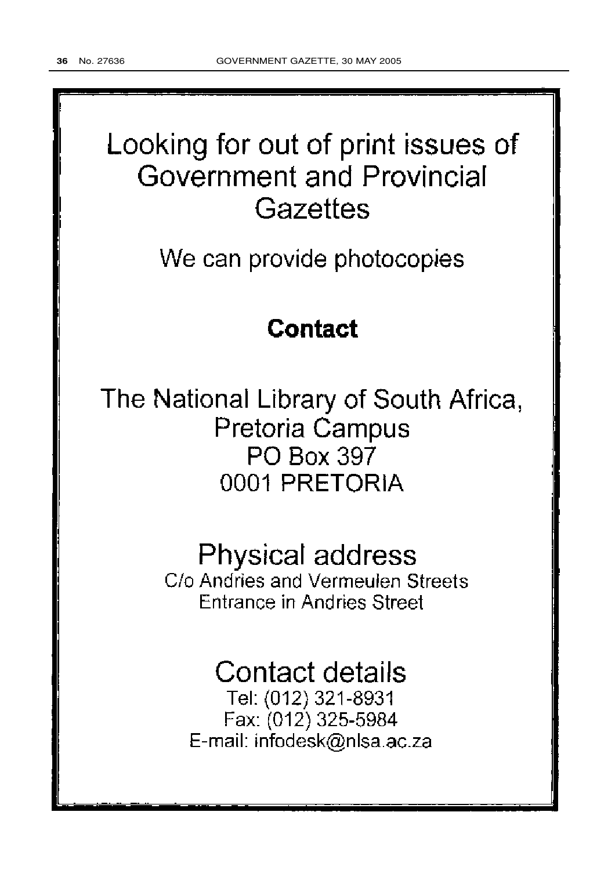# Looking for out of print issues of Government and Provincial Gazettes

We can provide photocopies

# **Contact**

The National Library of South Africa, Pretoria Campus PO Box 397 0001 PRETORIA

# **Physical address**

C/o Andries and Vermeulen Streets **Entrance in Andries Street** 

# **Contact details**

Tel: (012) 321-8931 Fax: (012) 325-5984 E-mail: infodesk@nlsa.ac.za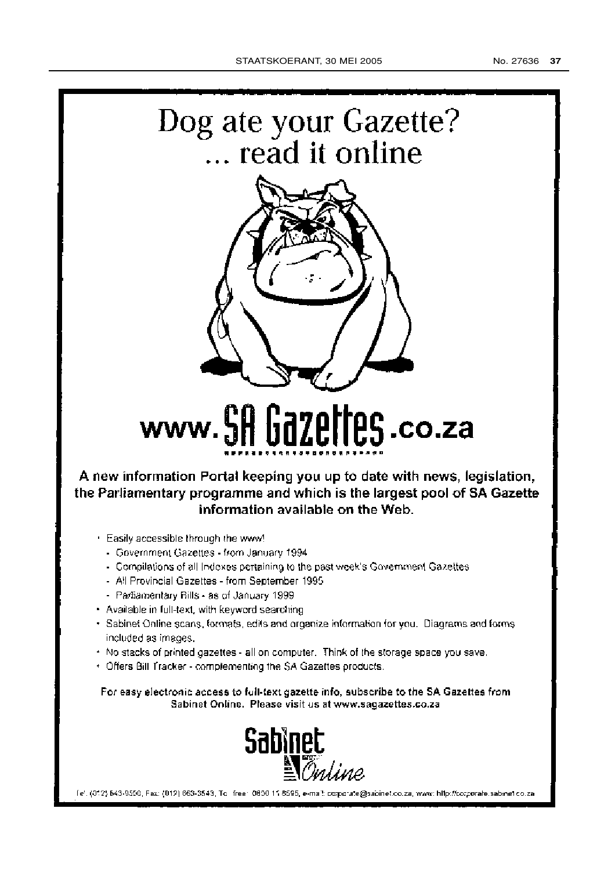



# www.SA Gazettes.co.za

A new information Portal keeping you up to date with news, legislation, the Parliamentary programme and which is the largest pool of SA Gazette information available on the Web.

- . Easily accessible through the www!
	- Government Gazettes from January 1994
	- Compilations of all Indexes pertaining to the past week's Government Gazettes
	- All Provincial Gazettes from September 1995
	- Partiamentary Bills as of January 1999
- · Available in full-text, with keyword searching
- · Sabinet Online scans, formats, edits and organize information for you. Diagrams and forms included as images.
- . No stacks of printed gazettes all on computer. Think of the storage space you save.
- . Offers Bill Tracker complementing the SA Gazettes products.

For easy electronic access to full-text gazette info, subscribe to the SA Gazettes from Sabinet Online. Please visit us at www.sagazettes.co.za



(e), (012) 643-9500, Fax: (012) 663-3543, To lifee: 0600-11 8595, e-mail: corporate@sabinet.co.za, www: hlip://corporate.sabmet.co.za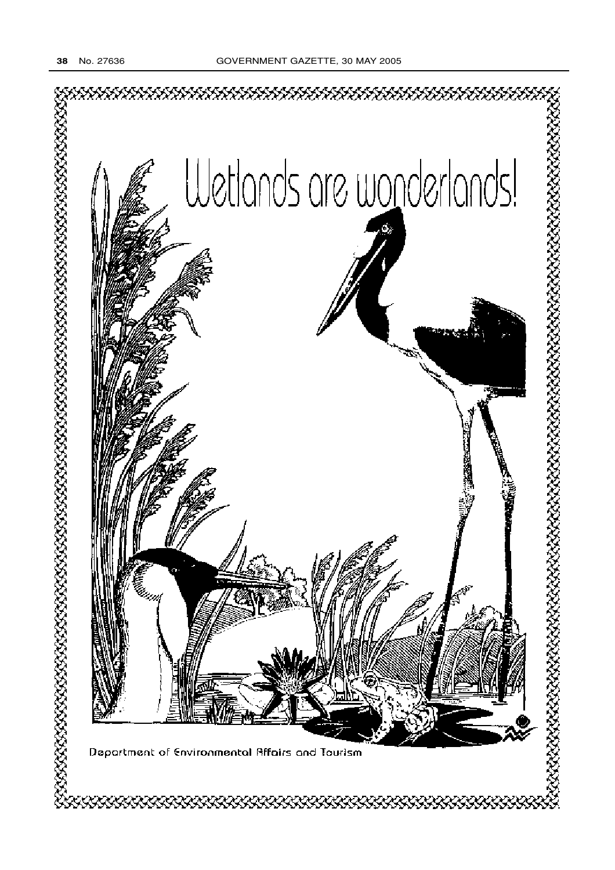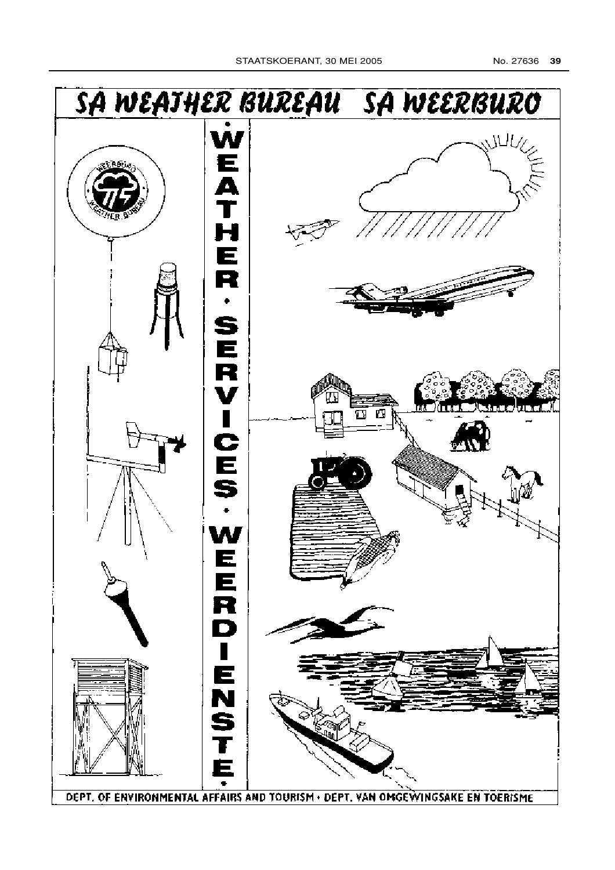